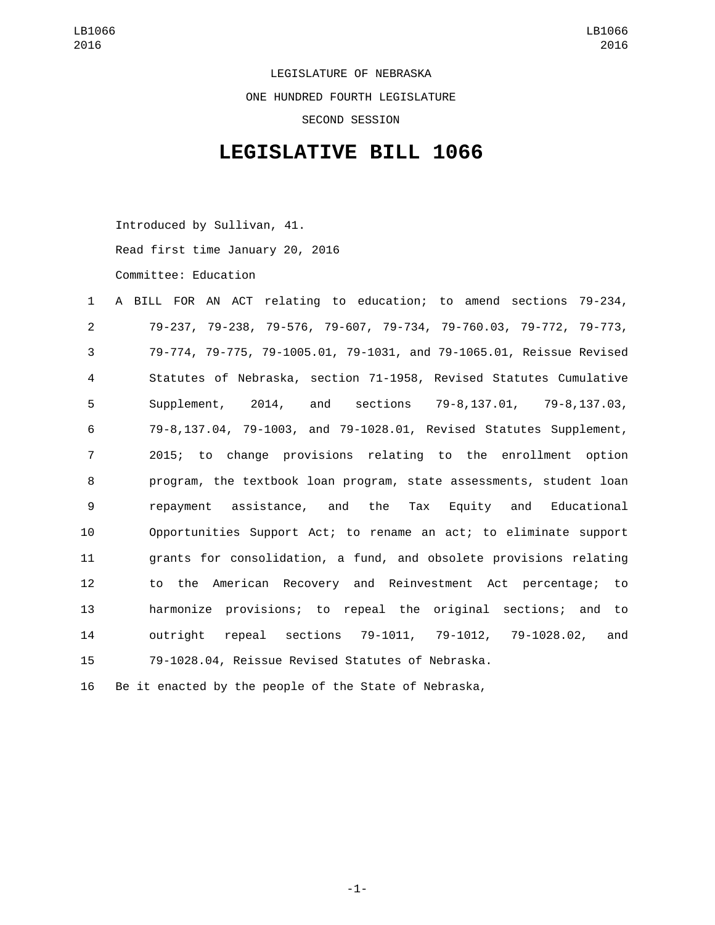LEGISLATURE OF NEBRASKA ONE HUNDRED FOURTH LEGISLATURE SECOND SESSION

## **LEGISLATIVE BILL 1066**

Introduced by Sullivan, 41.

Read first time January 20, 2016

Committee: Education

| A BILL FOR AN ACT relating to education; to amend sections 79-234,   |
|----------------------------------------------------------------------|
| 79-237, 79-238, 79-576, 79-607, 79-734, 79-760.03, 79-772, 79-773,   |
| 79-774, 79-775, 79-1005.01, 79-1031, and 79-1065.01, Reissue Revised |
| Statutes of Nebraska, section 71-1958, Revised Statutes Cumulative   |
| Supplement, 2014, and sections 79-8,137.01, 79-8,137.03,             |
| 79-8,137.04, 79-1003, and 79-1028.01, Revised Statutes Supplement,   |
| 2015; to change provisions relating to the enrollment option         |
| program, the textbook loan program, state assessments, student loan  |
| repayment assistance, and the Tax Equity and Educational             |
| Opportunities Support Act; to rename an act; to eliminate support    |
| grants for consolidation, a fund, and obsolete provisions relating   |
| to the American Recovery and Reinvestment Act percentage; to         |
| harmonize provisions; to repeal the original sections; and to        |
| repeal sections 79-1011, 79-1012, 79-1028.02,<br>outriaht<br>and     |
| 79-1028.04, Reissue Revised Statutes of Nebraska.                    |
|                                                                      |

Be it enacted by the people of the State of Nebraska,

-1-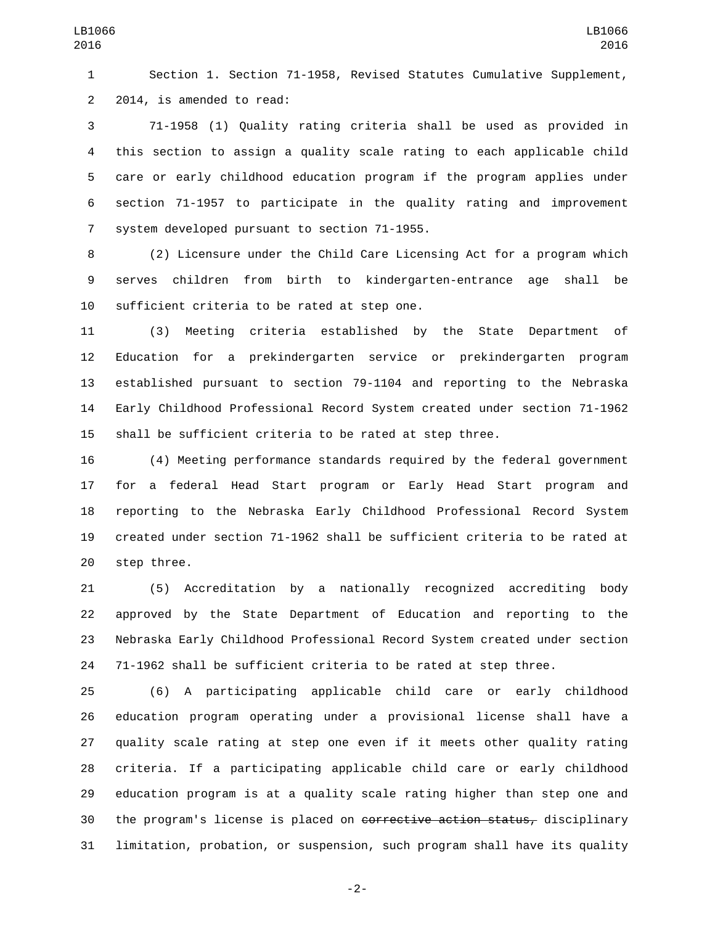Section 1. Section 71-1958, Revised Statutes Cumulative Supplement, 2 2014, is amended to read:

 71-1958 (1) Quality rating criteria shall be used as provided in this section to assign a quality scale rating to each applicable child care or early childhood education program if the program applies under section 71-1957 to participate in the quality rating and improvement 7 system developed pursuant to section 71-1955.

 (2) Licensure under the Child Care Licensing Act for a program which serves children from birth to kindergarten-entrance age shall be 10 sufficient criteria to be rated at step one.

 (3) Meeting criteria established by the State Department of Education for a prekindergarten service or prekindergarten program established pursuant to section 79-1104 and reporting to the Nebraska Early Childhood Professional Record System created under section 71-1962 shall be sufficient criteria to be rated at step three.

 (4) Meeting performance standards required by the federal government for a federal Head Start program or Early Head Start program and reporting to the Nebraska Early Childhood Professional Record System created under section 71-1962 shall be sufficient criteria to be rated at 20 step three.

 (5) Accreditation by a nationally recognized accrediting body approved by the State Department of Education and reporting to the Nebraska Early Childhood Professional Record System created under section 71-1962 shall be sufficient criteria to be rated at step three.

 (6) A participating applicable child care or early childhood education program operating under a provisional license shall have a quality scale rating at step one even if it meets other quality rating criteria. If a participating applicable child care or early childhood education program is at a quality scale rating higher than step one and 30 the program's license is placed on corrective action status, disciplinary limitation, probation, or suspension, such program shall have its quality

-2-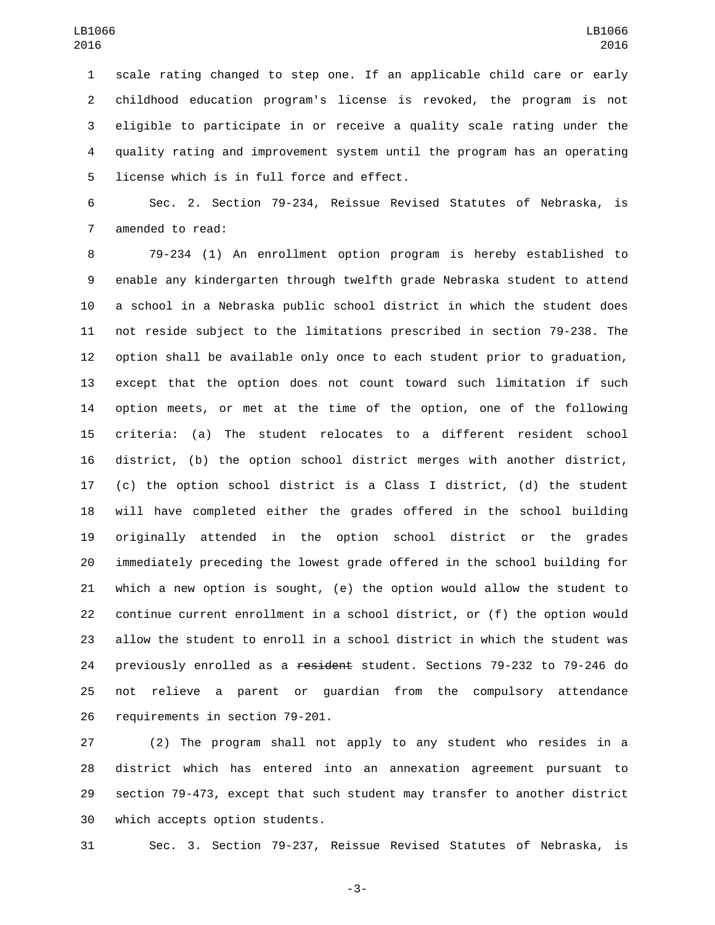scale rating changed to step one. If an applicable child care or early childhood education program's license is revoked, the program is not eligible to participate in or receive a quality scale rating under the quality rating and improvement system until the program has an operating 5 license which is in full force and effect.

 Sec. 2. Section 79-234, Reissue Revised Statutes of Nebraska, is 7 amended to read:

 79-234 (1) An enrollment option program is hereby established to enable any kindergarten through twelfth grade Nebraska student to attend a school in a Nebraska public school district in which the student does not reside subject to the limitations prescribed in section 79-238. The option shall be available only once to each student prior to graduation, except that the option does not count toward such limitation if such option meets, or met at the time of the option, one of the following criteria: (a) The student relocates to a different resident school district, (b) the option school district merges with another district, (c) the option school district is a Class I district, (d) the student will have completed either the grades offered in the school building originally attended in the option school district or the grades immediately preceding the lowest grade offered in the school building for which a new option is sought, (e) the option would allow the student to continue current enrollment in a school district, or (f) the option would allow the student to enroll in a school district in which the student was 24 previously enrolled as a resident student. Sections 79-232 to 79-246 do not relieve a parent or guardian from the compulsory attendance 26 requirements in section 79-201.

 (2) The program shall not apply to any student who resides in a district which has entered into an annexation agreement pursuant to section 79-473, except that such student may transfer to another district 30 which accepts option students.

Sec. 3. Section 79-237, Reissue Revised Statutes of Nebraska, is

-3-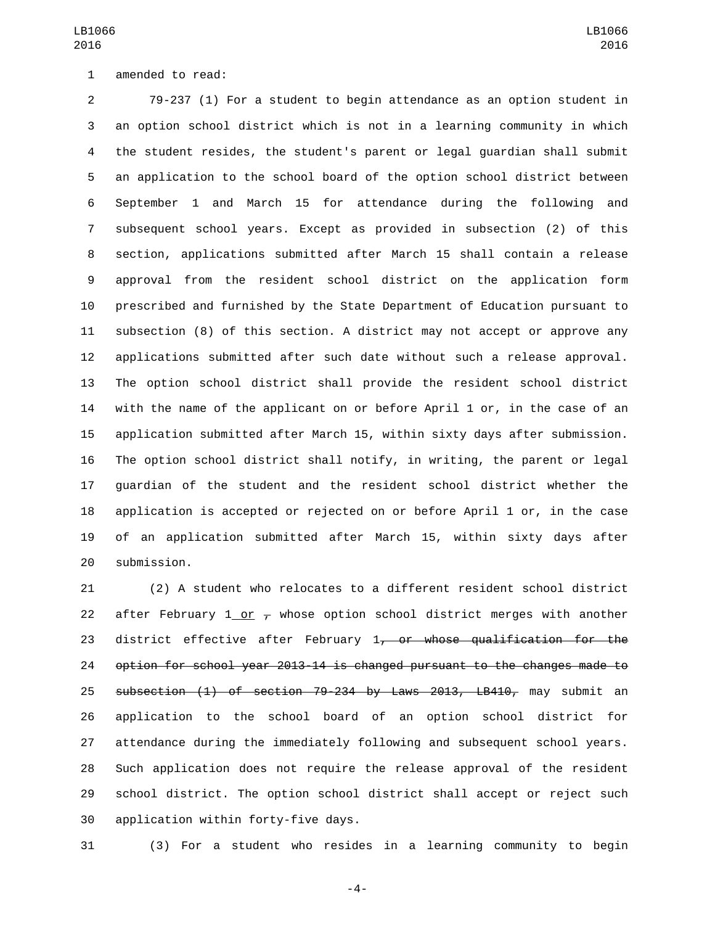79-237 (1) For a student to begin attendance as an option student in an option school district which is not in a learning community in which the student resides, the student's parent or legal guardian shall submit an application to the school board of the option school district between September 1 and March 15 for attendance during the following and subsequent school years. Except as provided in subsection (2) of this section, applications submitted after March 15 shall contain a release approval from the resident school district on the application form prescribed and furnished by the State Department of Education pursuant to subsection (8) of this section. A district may not accept or approve any applications submitted after such date without such a release approval. The option school district shall provide the resident school district with the name of the applicant on or before April 1 or, in the case of an application submitted after March 15, within sixty days after submission. The option school district shall notify, in writing, the parent or legal guardian of the student and the resident school district whether the application is accepted or rejected on or before April 1 or, in the case of an application submitted after March 15, within sixty days after 20 submission.

 (2) A student who relocates to a different resident school district 22 after February 1 or  $\tau$  whose option school district merges with another 23 district effective after February 1, or whose qualification for the option for school year 2013-14 is changed pursuant to the changes made to 25 subsection (1) of section 79-234 by Laws 2013, LB410, may submit an application to the school board of an option school district for attendance during the immediately following and subsequent school years. Such application does not require the release approval of the resident school district. The option school district shall accept or reject such 30 application within forty-five days.

(3) For a student who resides in a learning community to begin

-4-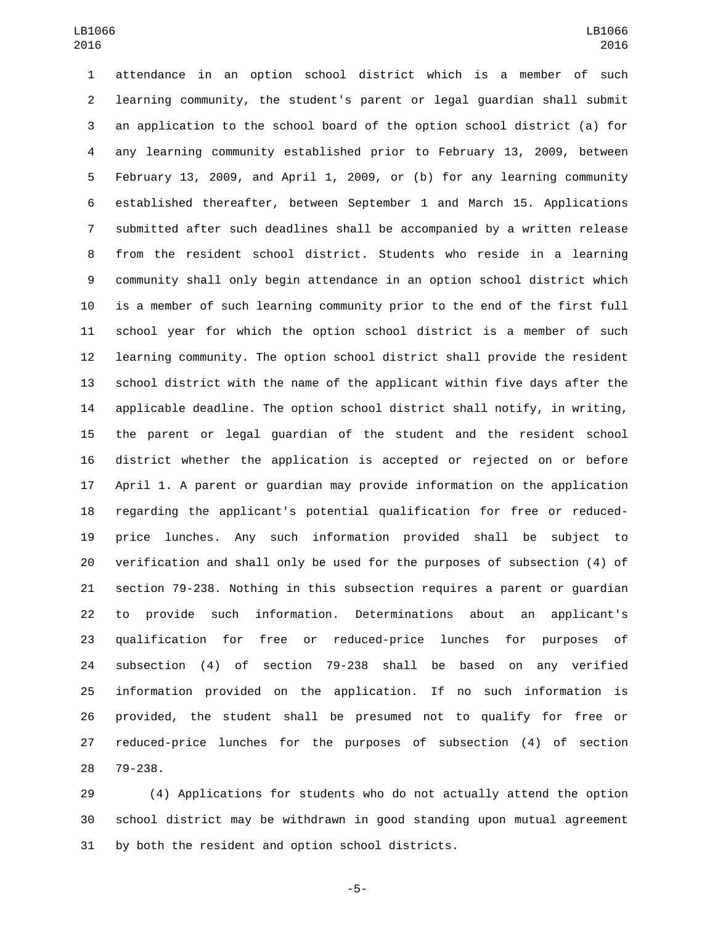attendance in an option school district which is a member of such learning community, the student's parent or legal guardian shall submit an application to the school board of the option school district (a) for any learning community established prior to February 13, 2009, between February 13, 2009, and April 1, 2009, or (b) for any learning community established thereafter, between September 1 and March 15. Applications submitted after such deadlines shall be accompanied by a written release from the resident school district. Students who reside in a learning community shall only begin attendance in an option school district which is a member of such learning community prior to the end of the first full school year for which the option school district is a member of such learning community. The option school district shall provide the resident school district with the name of the applicant within five days after the applicable deadline. The option school district shall notify, in writing, the parent or legal guardian of the student and the resident school district whether the application is accepted or rejected on or before April 1. A parent or guardian may provide information on the application regarding the applicant's potential qualification for free or reduced- price lunches. Any such information provided shall be subject to verification and shall only be used for the purposes of subsection (4) of section 79-238. Nothing in this subsection requires a parent or guardian to provide such information. Determinations about an applicant's qualification for free or reduced-price lunches for purposes of subsection (4) of section 79-238 shall be based on any verified information provided on the application. If no such information is provided, the student shall be presumed not to qualify for free or reduced-price lunches for the purposes of subsection (4) of section 28 79-238.

 (4) Applications for students who do not actually attend the option school district may be withdrawn in good standing upon mutual agreement 31 by both the resident and option school districts.

-5-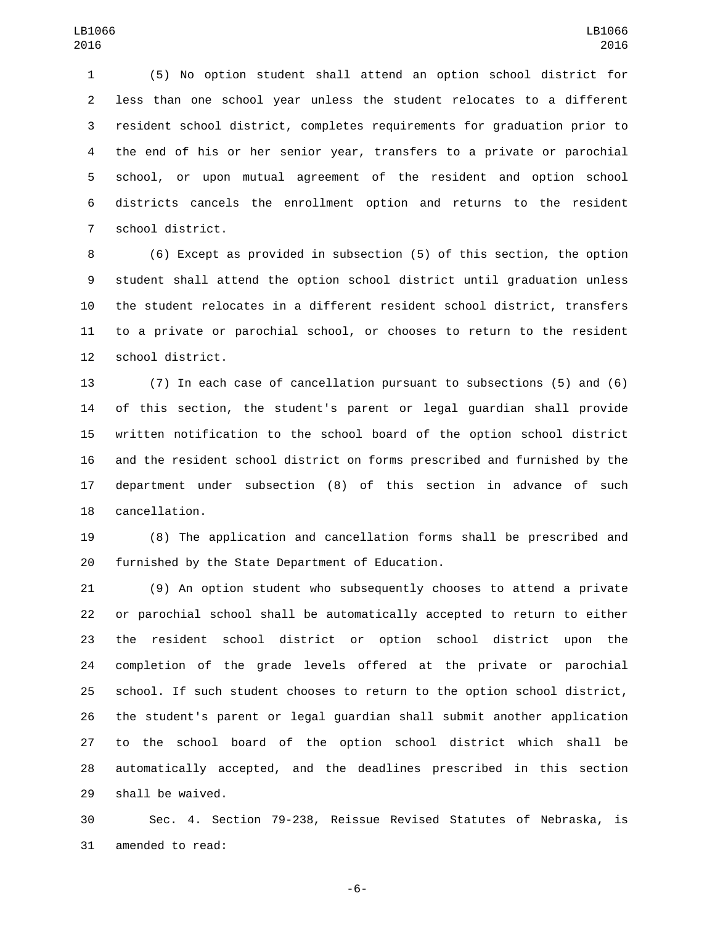(5) No option student shall attend an option school district for less than one school year unless the student relocates to a different resident school district, completes requirements for graduation prior to the end of his or her senior year, transfers to a private or parochial school, or upon mutual agreement of the resident and option school districts cancels the enrollment option and returns to the resident 7 school district.

 (6) Except as provided in subsection (5) of this section, the option student shall attend the option school district until graduation unless the student relocates in a different resident school district, transfers to a private or parochial school, or chooses to return to the resident 12 school district.

 (7) In each case of cancellation pursuant to subsections (5) and (6) of this section, the student's parent or legal guardian shall provide written notification to the school board of the option school district and the resident school district on forms prescribed and furnished by the department under subsection (8) of this section in advance of such 18 cancellation.

 (8) The application and cancellation forms shall be prescribed and 20 furnished by the State Department of Education.

 (9) An option student who subsequently chooses to attend a private or parochial school shall be automatically accepted to return to either the resident school district or option school district upon the completion of the grade levels offered at the private or parochial school. If such student chooses to return to the option school district, the student's parent or legal guardian shall submit another application to the school board of the option school district which shall be automatically accepted, and the deadlines prescribed in this section 29 shall be waived.

 Sec. 4. Section 79-238, Reissue Revised Statutes of Nebraska, is 31 amended to read:

-6-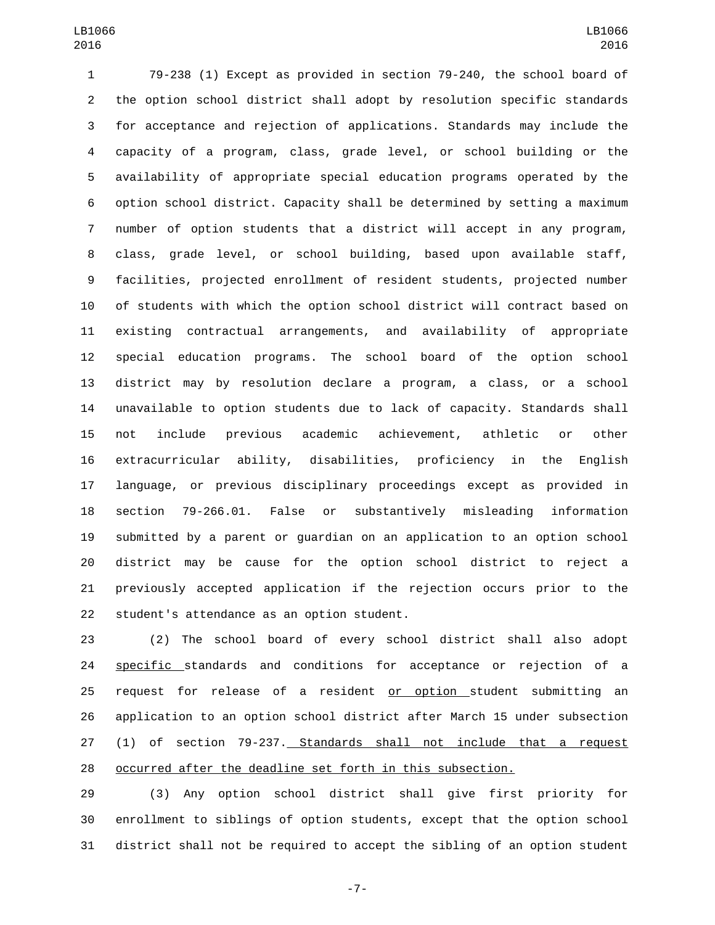79-238 (1) Except as provided in section 79-240, the school board of the option school district shall adopt by resolution specific standards for acceptance and rejection of applications. Standards may include the capacity of a program, class, grade level, or school building or the availability of appropriate special education programs operated by the option school district. Capacity shall be determined by setting a maximum number of option students that a district will accept in any program, class, grade level, or school building, based upon available staff, facilities, projected enrollment of resident students, projected number of students with which the option school district will contract based on existing contractual arrangements, and availability of appropriate special education programs. The school board of the option school district may by resolution declare a program, a class, or a school unavailable to option students due to lack of capacity. Standards shall not include previous academic achievement, athletic or other extracurricular ability, disabilities, proficiency in the English language, or previous disciplinary proceedings except as provided in section 79-266.01. False or substantively misleading information submitted by a parent or guardian on an application to an option school district may be cause for the option school district to reject a previously accepted application if the rejection occurs prior to the 22 student's attendance as an option student.

 (2) The school board of every school district shall also adopt **specific** standards and conditions for acceptance or rejection of a 25 request for release of a resident or option student submitting an application to an option school district after March 15 under subsection (1) of section 79-237. Standards shall not include that a request occurred after the deadline set forth in this subsection.

 (3) Any option school district shall give first priority for enrollment to siblings of option students, except that the option school district shall not be required to accept the sibling of an option student

-7-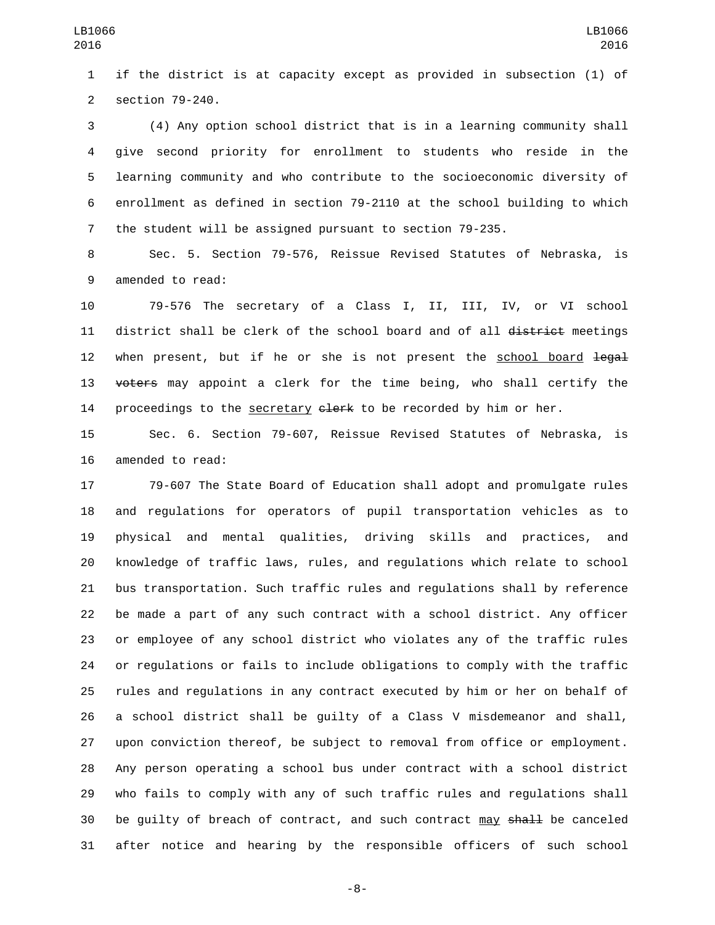if the district is at capacity except as provided in subsection (1) of 2 section 79-240.

 (4) Any option school district that is in a learning community shall give second priority for enrollment to students who reside in the learning community and who contribute to the socioeconomic diversity of enrollment as defined in section 79-2110 at the school building to which the student will be assigned pursuant to section 79-235.

 Sec. 5. Section 79-576, Reissue Revised Statutes of Nebraska, is 9 amended to read:

 79-576 The secretary of a Class I, II, III, IV, or VI school 11 district shall be clerk of the school board and of all district meetings 12 when present, but if he or she is not present the school board legal 13 voters may appoint a clerk for the time being, who shall certify the 14 proceedings to the secretary elerk to be recorded by him or her.

 Sec. 6. Section 79-607, Reissue Revised Statutes of Nebraska, is 16 amended to read:

 79-607 The State Board of Education shall adopt and promulgate rules and regulations for operators of pupil transportation vehicles as to physical and mental qualities, driving skills and practices, and knowledge of traffic laws, rules, and regulations which relate to school bus transportation. Such traffic rules and regulations shall by reference be made a part of any such contract with a school district. Any officer or employee of any school district who violates any of the traffic rules or regulations or fails to include obligations to comply with the traffic rules and regulations in any contract executed by him or her on behalf of a school district shall be guilty of a Class V misdemeanor and shall, upon conviction thereof, be subject to removal from office or employment. Any person operating a school bus under contract with a school district who fails to comply with any of such traffic rules and regulations shall 30 be quilty of breach of contract, and such contract may shall be canceled after notice and hearing by the responsible officers of such school

-8-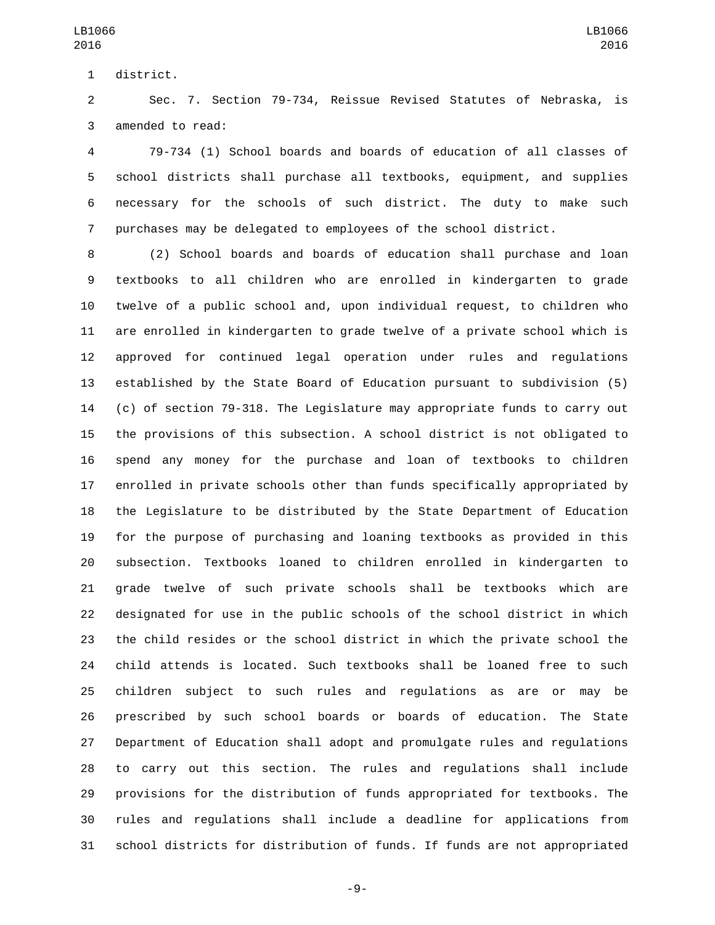1 district.

 Sec. 7. Section 79-734, Reissue Revised Statutes of Nebraska, is 3 amended to read:

 79-734 (1) School boards and boards of education of all classes of school districts shall purchase all textbooks, equipment, and supplies necessary for the schools of such district. The duty to make such purchases may be delegated to employees of the school district.

 (2) School boards and boards of education shall purchase and loan textbooks to all children who are enrolled in kindergarten to grade twelve of a public school and, upon individual request, to children who are enrolled in kindergarten to grade twelve of a private school which is approved for continued legal operation under rules and regulations established by the State Board of Education pursuant to subdivision (5) (c) of section 79-318. The Legislature may appropriate funds to carry out the provisions of this subsection. A school district is not obligated to spend any money for the purchase and loan of textbooks to children enrolled in private schools other than funds specifically appropriated by the Legislature to be distributed by the State Department of Education for the purpose of purchasing and loaning textbooks as provided in this subsection. Textbooks loaned to children enrolled in kindergarten to grade twelve of such private schools shall be textbooks which are designated for use in the public schools of the school district in which the child resides or the school district in which the private school the child attends is located. Such textbooks shall be loaned free to such children subject to such rules and regulations as are or may be prescribed by such school boards or boards of education. The State Department of Education shall adopt and promulgate rules and regulations to carry out this section. The rules and regulations shall include provisions for the distribution of funds appropriated for textbooks. The rules and regulations shall include a deadline for applications from school districts for distribution of funds. If funds are not appropriated

-9-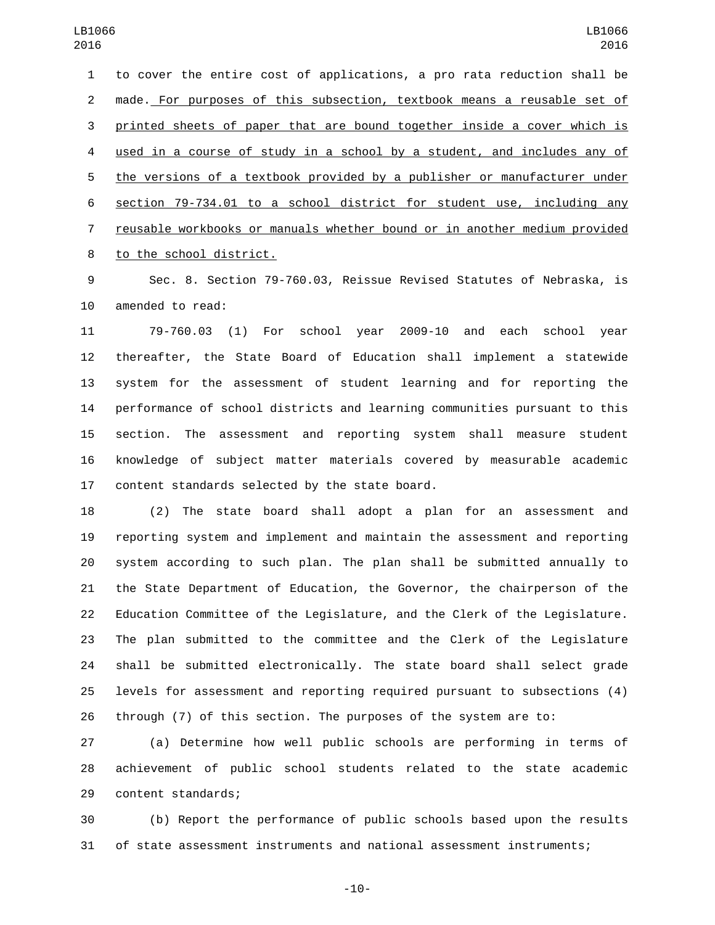to cover the entire cost of applications, a pro rata reduction shall be made. For purposes of this subsection, textbook means a reusable set of printed sheets of paper that are bound together inside a cover which is used in a course of study in a school by a student, and includes any of the versions of a textbook provided by a publisher or manufacturer under section 79-734.01 to a school district for student use, including any reusable workbooks or manuals whether bound or in another medium provided 8 to the school district.

 Sec. 8. Section 79-760.03, Reissue Revised Statutes of Nebraska, is 10 amended to read:

 79-760.03 (1) For school year 2009-10 and each school year thereafter, the State Board of Education shall implement a statewide system for the assessment of student learning and for reporting the performance of school districts and learning communities pursuant to this section. The assessment and reporting system shall measure student knowledge of subject matter materials covered by measurable academic 17 content standards selected by the state board.

 (2) The state board shall adopt a plan for an assessment and reporting system and implement and maintain the assessment and reporting system according to such plan. The plan shall be submitted annually to the State Department of Education, the Governor, the chairperson of the Education Committee of the Legislature, and the Clerk of the Legislature. The plan submitted to the committee and the Clerk of the Legislature shall be submitted electronically. The state board shall select grade levels for assessment and reporting required pursuant to subsections (4) through (7) of this section. The purposes of the system are to:

 (a) Determine how well public schools are performing in terms of achievement of public school students related to the state academic 29 content standards;

 (b) Report the performance of public schools based upon the results of state assessment instruments and national assessment instruments;

-10-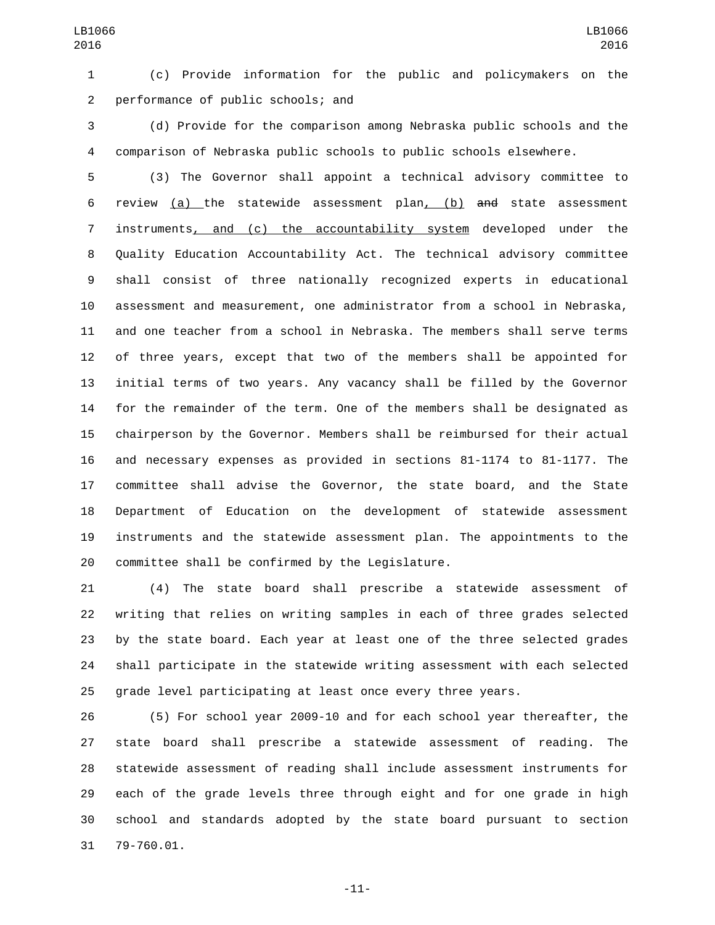(c) Provide information for the public and policymakers on the 2 performance of public schools; and

 (d) Provide for the comparison among Nebraska public schools and the comparison of Nebraska public schools to public schools elsewhere.

 (3) The Governor shall appoint a technical advisory committee to review (a) the statewide assessment plan, (b) and state assessment instruments, and (c) the accountability system developed under the Quality Education Accountability Act. The technical advisory committee shall consist of three nationally recognized experts in educational assessment and measurement, one administrator from a school in Nebraska, and one teacher from a school in Nebraska. The members shall serve terms of three years, except that two of the members shall be appointed for initial terms of two years. Any vacancy shall be filled by the Governor for the remainder of the term. One of the members shall be designated as chairperson by the Governor. Members shall be reimbursed for their actual and necessary expenses as provided in sections 81-1174 to 81-1177. The committee shall advise the Governor, the state board, and the State Department of Education on the development of statewide assessment instruments and the statewide assessment plan. The appointments to the 20 committee shall be confirmed by the Legislature.

 (4) The state board shall prescribe a statewide assessment of writing that relies on writing samples in each of three grades selected by the state board. Each year at least one of the three selected grades shall participate in the statewide writing assessment with each selected grade level participating at least once every three years.

 (5) For school year 2009-10 and for each school year thereafter, the state board shall prescribe a statewide assessment of reading. The statewide assessment of reading shall include assessment instruments for each of the grade levels three through eight and for one grade in high school and standards adopted by the state board pursuant to section 31 79-760.01.

-11-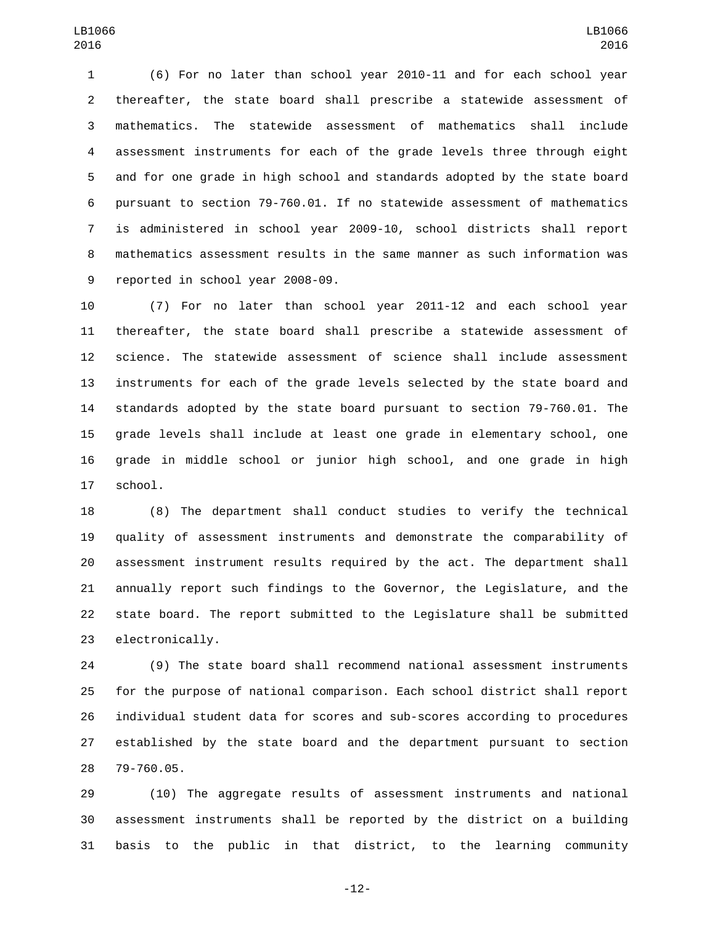(6) For no later than school year 2010-11 and for each school year thereafter, the state board shall prescribe a statewide assessment of mathematics. The statewide assessment of mathematics shall include assessment instruments for each of the grade levels three through eight and for one grade in high school and standards adopted by the state board pursuant to section 79-760.01. If no statewide assessment of mathematics is administered in school year 2009-10, school districts shall report mathematics assessment results in the same manner as such information was 9 reported in school year 2008-09.

 (7) For no later than school year 2011-12 and each school year thereafter, the state board shall prescribe a statewide assessment of science. The statewide assessment of science shall include assessment instruments for each of the grade levels selected by the state board and standards adopted by the state board pursuant to section 79-760.01. The grade levels shall include at least one grade in elementary school, one grade in middle school or junior high school, and one grade in high 17 school.

 (8) The department shall conduct studies to verify the technical quality of assessment instruments and demonstrate the comparability of assessment instrument results required by the act. The department shall annually report such findings to the Governor, the Legislature, and the state board. The report submitted to the Legislature shall be submitted 23 electronically.

 (9) The state board shall recommend national assessment instruments for the purpose of national comparison. Each school district shall report individual student data for scores and sub-scores according to procedures established by the state board and the department pursuant to section 28 79-760.05.

 (10) The aggregate results of assessment instruments and national assessment instruments shall be reported by the district on a building basis to the public in that district, to the learning community

-12-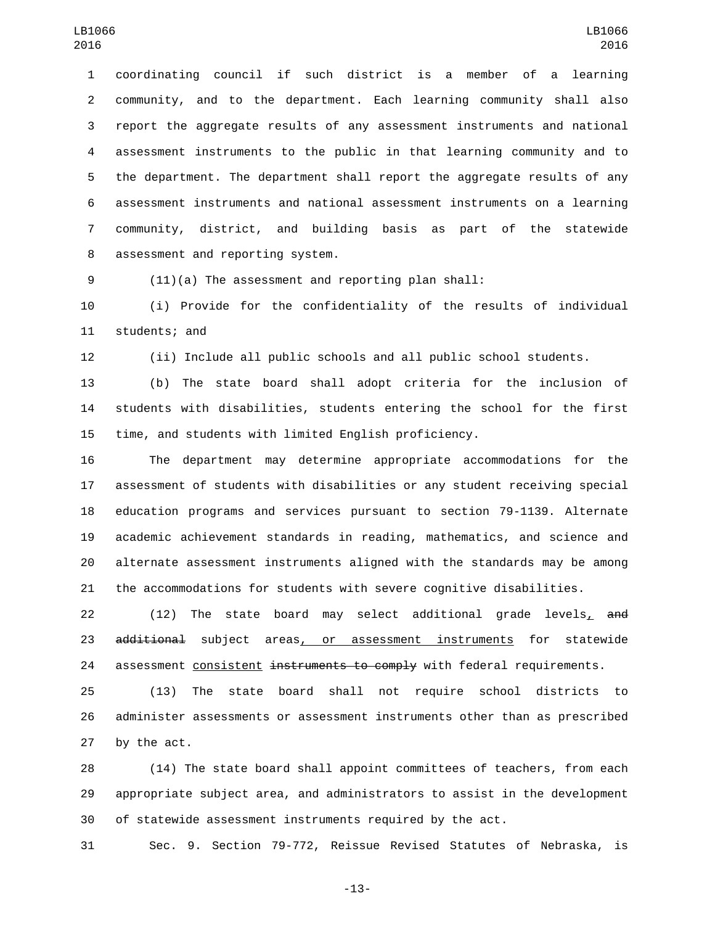coordinating council if such district is a member of a learning community, and to the department. Each learning community shall also report the aggregate results of any assessment instruments and national assessment instruments to the public in that learning community and to the department. The department shall report the aggregate results of any assessment instruments and national assessment instruments on a learning community, district, and building basis as part of the statewide 8 assessment and reporting system.

(11)(a) The assessment and reporting plan shall:

 (i) Provide for the confidentiality of the results of individual 11 students; and

(ii) Include all public schools and all public school students.

 (b) The state board shall adopt criteria for the inclusion of students with disabilities, students entering the school for the first time, and students with limited English proficiency.

 The department may determine appropriate accommodations for the assessment of students with disabilities or any student receiving special education programs and services pursuant to section 79-1139. Alternate academic achievement standards in reading, mathematics, and science and alternate assessment instruments aligned with the standards may be among the accommodations for students with severe cognitive disabilities.

22 (12) The state board may select additional grade levels, and 23 additional subject areas, or assessment instruments for statewide 24 assessment consistent instruments to comply with federal requirements.

 (13) The state board shall not require school districts to administer assessments or assessment instruments other than as prescribed by the act.

 (14) The state board shall appoint committees of teachers, from each appropriate subject area, and administrators to assist in the development of statewide assessment instruments required by the act.

Sec. 9. Section 79-772, Reissue Revised Statutes of Nebraska, is

-13-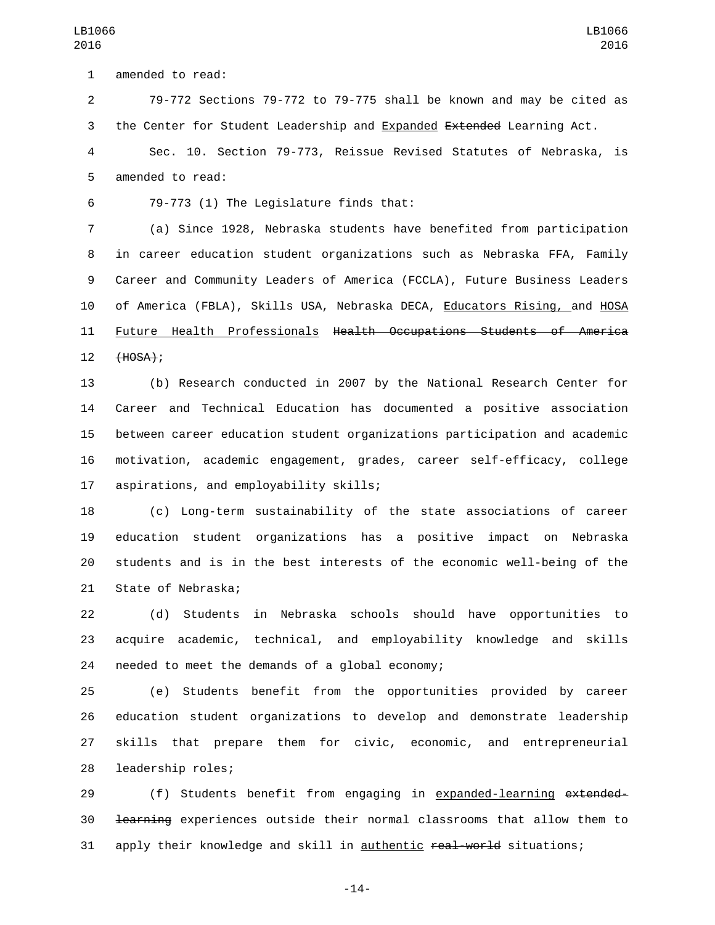79-772 Sections 79-772 to 79-775 shall be known and may be cited as 3 the Center for Student Leadership and Expanded Extended Learning Act.

 Sec. 10. Section 79-773, Reissue Revised Statutes of Nebraska, is 5 amended to read:

79-773 (1) The Legislature finds that:6

 (a) Since 1928, Nebraska students have benefited from participation in career education student organizations such as Nebraska FFA, Family Career and Community Leaders of America (FCCLA), Future Business Leaders of America (FBLA), Skills USA, Nebraska DECA, Educators Rising, and HOSA Future Health Professionals Health Occupations Students of America 12 (HOSA);

 (b) Research conducted in 2007 by the National Research Center for Career and Technical Education has documented a positive association between career education student organizations participation and academic motivation, academic engagement, grades, career self-efficacy, college 17 aspirations, and employability skills;

 (c) Long-term sustainability of the state associations of career education student organizations has a positive impact on Nebraska students and is in the best interests of the economic well-being of the 21 State of Nebraska;

 (d) Students in Nebraska schools should have opportunities to acquire academic, technical, and employability knowledge and skills 24 needed to meet the demands of a global economy;

 (e) Students benefit from the opportunities provided by career education student organizations to develop and demonstrate leadership skills that prepare them for civic, economic, and entrepreneurial 28 leadership roles;

29 (f) Students benefit from engaging in expanded-learning extended- learning experiences outside their normal classrooms that allow them to 31 apply their knowledge and skill in authentic real-world situations;

-14-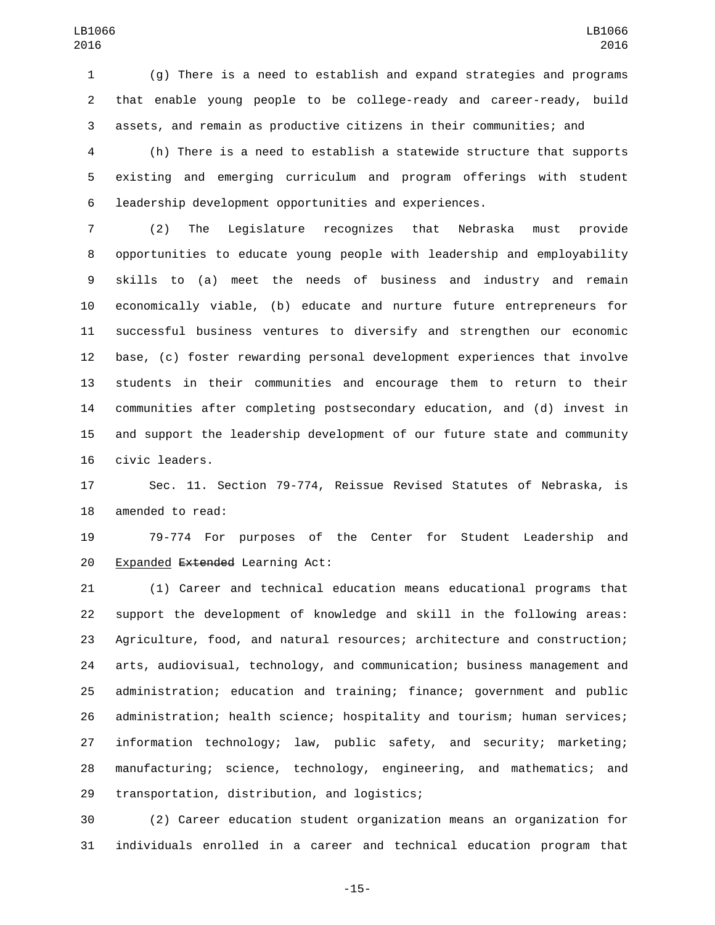(g) There is a need to establish and expand strategies and programs that enable young people to be college-ready and career-ready, build assets, and remain as productive citizens in their communities; and

 (h) There is a need to establish a statewide structure that supports existing and emerging curriculum and program offerings with student leadership development opportunities and experiences.

 (2) The Legislature recognizes that Nebraska must provide opportunities to educate young people with leadership and employability skills to (a) meet the needs of business and industry and remain economically viable, (b) educate and nurture future entrepreneurs for successful business ventures to diversify and strengthen our economic base, (c) foster rewarding personal development experiences that involve students in their communities and encourage them to return to their communities after completing postsecondary education, and (d) invest in and support the leadership development of our future state and community 16 civic leaders.

 Sec. 11. Section 79-774, Reissue Revised Statutes of Nebraska, is 18 amended to read:

 79-774 For purposes of the Center for Student Leadership and 20 Expanded Extended Learning Act:

 (1) Career and technical education means educational programs that support the development of knowledge and skill in the following areas: Agriculture, food, and natural resources; architecture and construction; arts, audiovisual, technology, and communication; business management and administration; education and training; finance; government and public administration; health science; hospitality and tourism; human services; information technology; law, public safety, and security; marketing; manufacturing; science, technology, engineering, and mathematics; and 29 transportation, distribution, and logistics;

 (2) Career education student organization means an organization for individuals enrolled in a career and technical education program that

-15-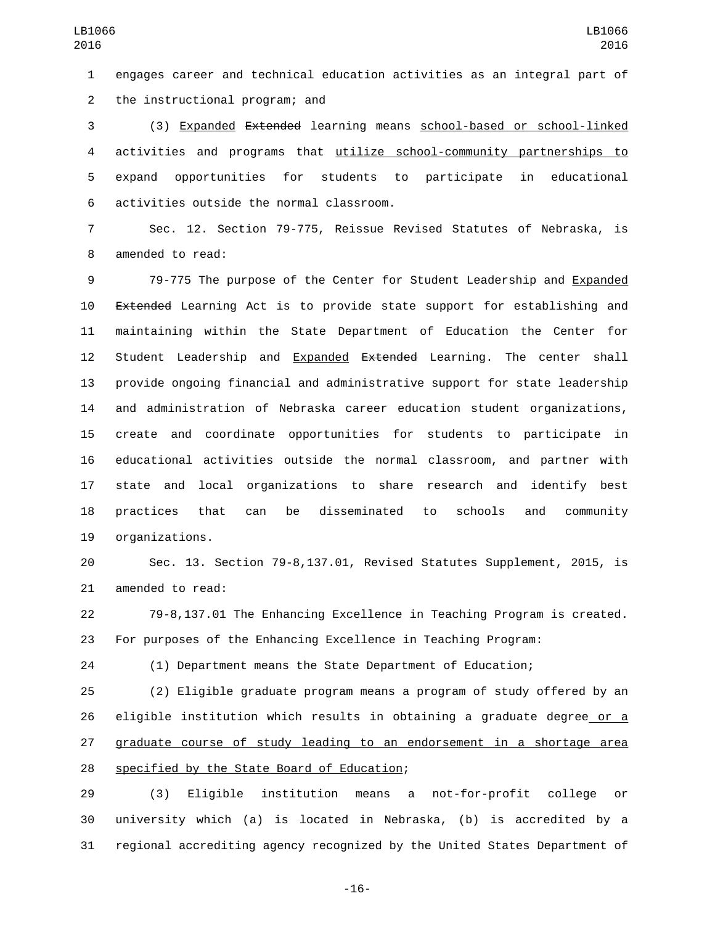engages career and technical education activities as an integral part of 2 the instructional program; and

 (3) Expanded Extended learning means school-based or school-linked activities and programs that utilize school-community partnerships to expand opportunities for students to participate in educational activities outside the normal classroom.6

 Sec. 12. Section 79-775, Reissue Revised Statutes of Nebraska, is 8 amended to read:

 79-775 The purpose of the Center for Student Leadership and Expanded Extended Learning Act is to provide state support for establishing and maintaining within the State Department of Education the Center for 12 Student Leadership and Expanded Extended Learning. The center shall provide ongoing financial and administrative support for state leadership and administration of Nebraska career education student organizations, create and coordinate opportunities for students to participate in educational activities outside the normal classroom, and partner with state and local organizations to share research and identify best practices that can be disseminated to schools and community 19 organizations.

 Sec. 13. Section 79-8,137.01, Revised Statutes Supplement, 2015, is 21 amended to read:

 79-8,137.01 The Enhancing Excellence in Teaching Program is created. For purposes of the Enhancing Excellence in Teaching Program:

(1) Department means the State Department of Education;

 (2) Eligible graduate program means a program of study offered by an eligible institution which results in obtaining a graduate degree or a graduate course of study leading to an endorsement in a shortage area 28 specified by the State Board of Education;

 (3) Eligible institution means a not-for-profit college or university which (a) is located in Nebraska, (b) is accredited by a regional accrediting agency recognized by the United States Department of

-16-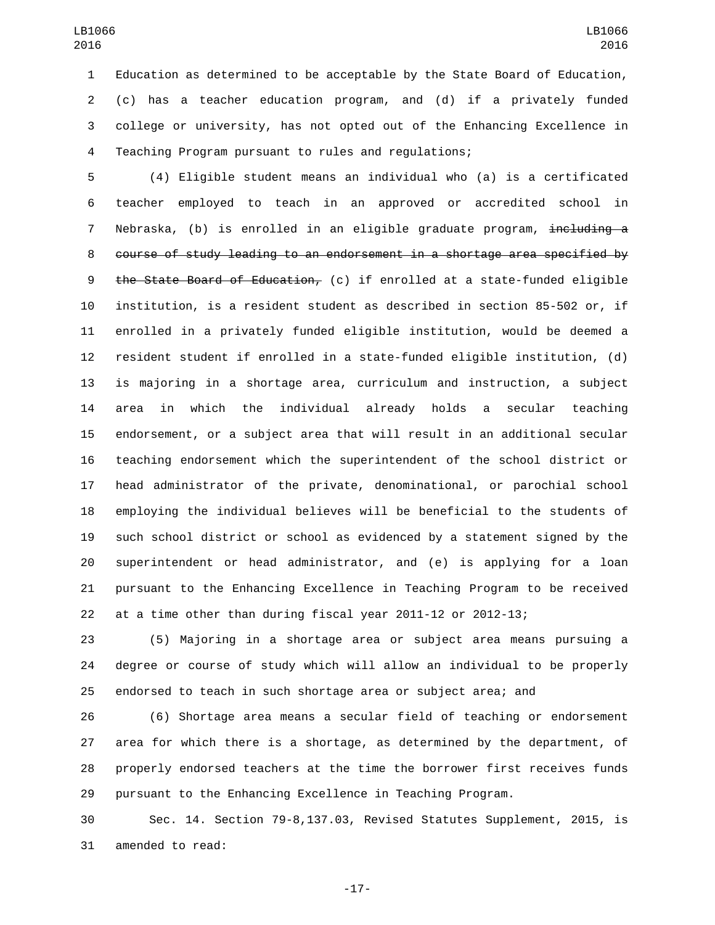Education as determined to be acceptable by the State Board of Education, (c) has a teacher education program, and (d) if a privately funded college or university, has not opted out of the Enhancing Excellence in Teaching Program pursuant to rules and regulations;

 (4) Eligible student means an individual who (a) is a certificated teacher employed to teach in an approved or accredited school in 7 Nebraska, (b) is enrolled in an eligible graduate program, <del>including a</del> course of study leading to an endorsement in a shortage area specified by the State Board of Education, (c) if enrolled at a state-funded eligible institution, is a resident student as described in section 85-502 or, if enrolled in a privately funded eligible institution, would be deemed a resident student if enrolled in a state-funded eligible institution, (d) is majoring in a shortage area, curriculum and instruction, a subject area in which the individual already holds a secular teaching endorsement, or a subject area that will result in an additional secular teaching endorsement which the superintendent of the school district or head administrator of the private, denominational, or parochial school employing the individual believes will be beneficial to the students of such school district or school as evidenced by a statement signed by the superintendent or head administrator, and (e) is applying for a loan pursuant to the Enhancing Excellence in Teaching Program to be received at a time other than during fiscal year 2011-12 or 2012-13;

 (5) Majoring in a shortage area or subject area means pursuing a degree or course of study which will allow an individual to be properly endorsed to teach in such shortage area or subject area; and

 (6) Shortage area means a secular field of teaching or endorsement area for which there is a shortage, as determined by the department, of properly endorsed teachers at the time the borrower first receives funds pursuant to the Enhancing Excellence in Teaching Program.

 Sec. 14. Section 79-8,137.03, Revised Statutes Supplement, 2015, is 31 amended to read:

-17-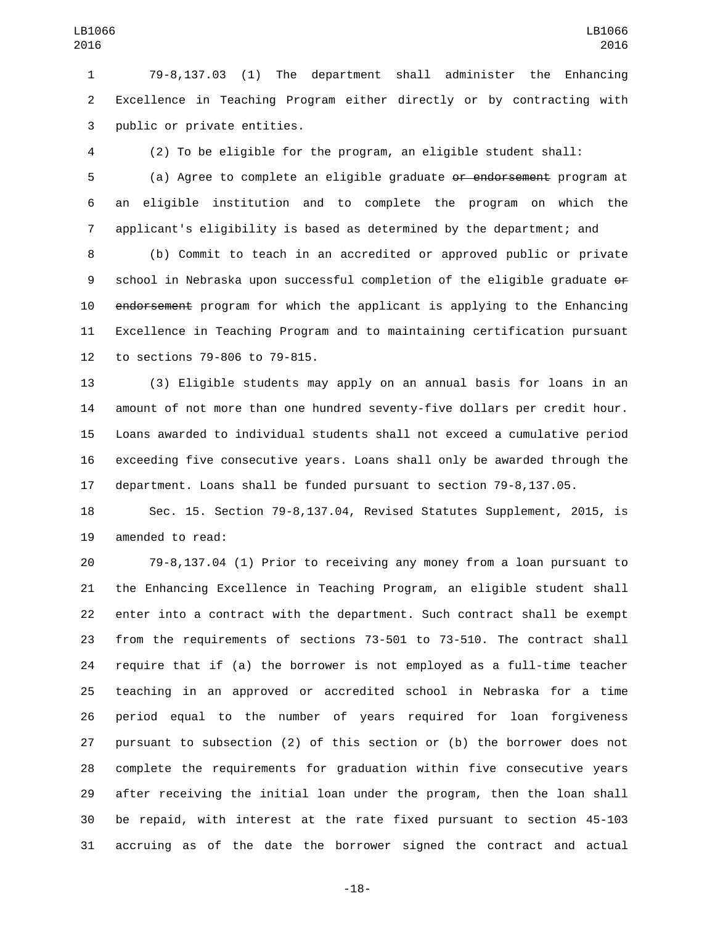79-8,137.03 (1) The department shall administer the Enhancing Excellence in Teaching Program either directly or by contracting with 3 public or private entities.

(2) To be eligible for the program, an eligible student shall:

 (a) Agree to complete an eligible graduate or endorsement program at an eligible institution and to complete the program on which the applicant's eligibility is based as determined by the department; and

 (b) Commit to teach in an accredited or approved public or private school in Nebraska upon successful completion of the eligible graduate or 10 endorsement program for which the applicant is applying to the Enhancing Excellence in Teaching Program and to maintaining certification pursuant 12 to sections 79-806 to 79-815.

 (3) Eligible students may apply on an annual basis for loans in an amount of not more than one hundred seventy-five dollars per credit hour. Loans awarded to individual students shall not exceed a cumulative period exceeding five consecutive years. Loans shall only be awarded through the department. Loans shall be funded pursuant to section 79-8,137.05.

 Sec. 15. Section 79-8,137.04, Revised Statutes Supplement, 2015, is 19 amended to read:

 79-8,137.04 (1) Prior to receiving any money from a loan pursuant to the Enhancing Excellence in Teaching Program, an eligible student shall enter into a contract with the department. Such contract shall be exempt from the requirements of sections 73-501 to 73-510. The contract shall require that if (a) the borrower is not employed as a full-time teacher teaching in an approved or accredited school in Nebraska for a time period equal to the number of years required for loan forgiveness pursuant to subsection (2) of this section or (b) the borrower does not complete the requirements for graduation within five consecutive years after receiving the initial loan under the program, then the loan shall be repaid, with interest at the rate fixed pursuant to section 45-103 accruing as of the date the borrower signed the contract and actual

-18-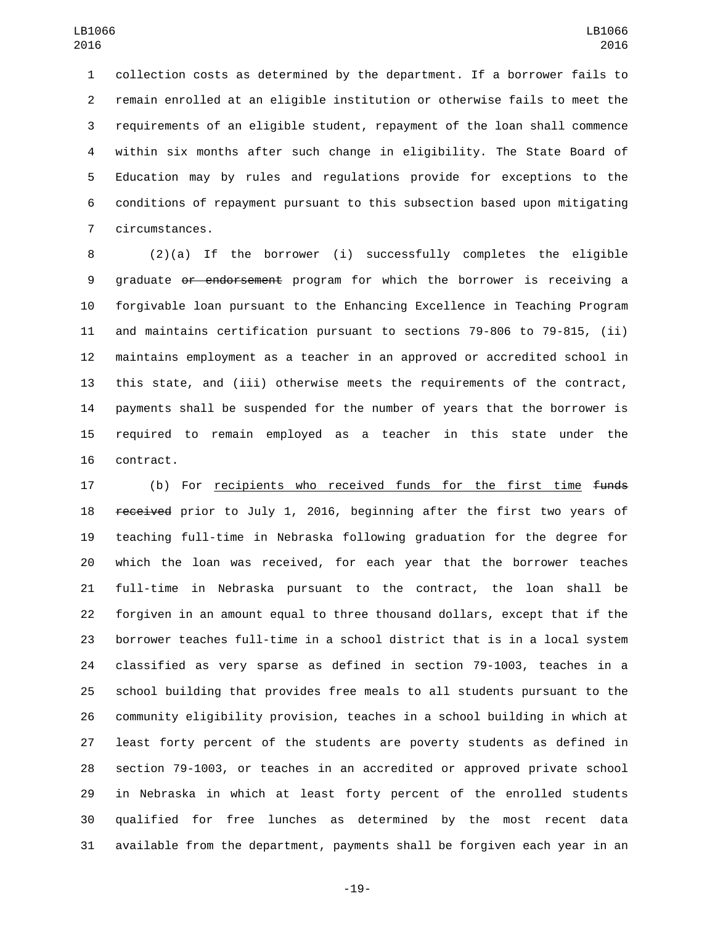collection costs as determined by the department. If a borrower fails to remain enrolled at an eligible institution or otherwise fails to meet the requirements of an eligible student, repayment of the loan shall commence within six months after such change in eligibility. The State Board of Education may by rules and regulations provide for exceptions to the conditions of repayment pursuant to this subsection based upon mitigating 7 circumstances.

 (2)(a) If the borrower (i) successfully completes the eligible graduate or endorsement program for which the borrower is receiving a forgivable loan pursuant to the Enhancing Excellence in Teaching Program and maintains certification pursuant to sections 79-806 to 79-815, (ii) maintains employment as a teacher in an approved or accredited school in this state, and (iii) otherwise meets the requirements of the contract, payments shall be suspended for the number of years that the borrower is required to remain employed as a teacher in this state under the 16 contract.

17 (b) For <u>recipients who received funds for the first time</u> funds 18 received prior to July 1, 2016, beginning after the first two years of teaching full-time in Nebraska following graduation for the degree for which the loan was received, for each year that the borrower teaches full-time in Nebraska pursuant to the contract, the loan shall be forgiven in an amount equal to three thousand dollars, except that if the borrower teaches full-time in a school district that is in a local system classified as very sparse as defined in section 79-1003, teaches in a school building that provides free meals to all students pursuant to the community eligibility provision, teaches in a school building in which at least forty percent of the students are poverty students as defined in section 79-1003, or teaches in an accredited or approved private school in Nebraska in which at least forty percent of the enrolled students qualified for free lunches as determined by the most recent data available from the department, payments shall be forgiven each year in an

-19-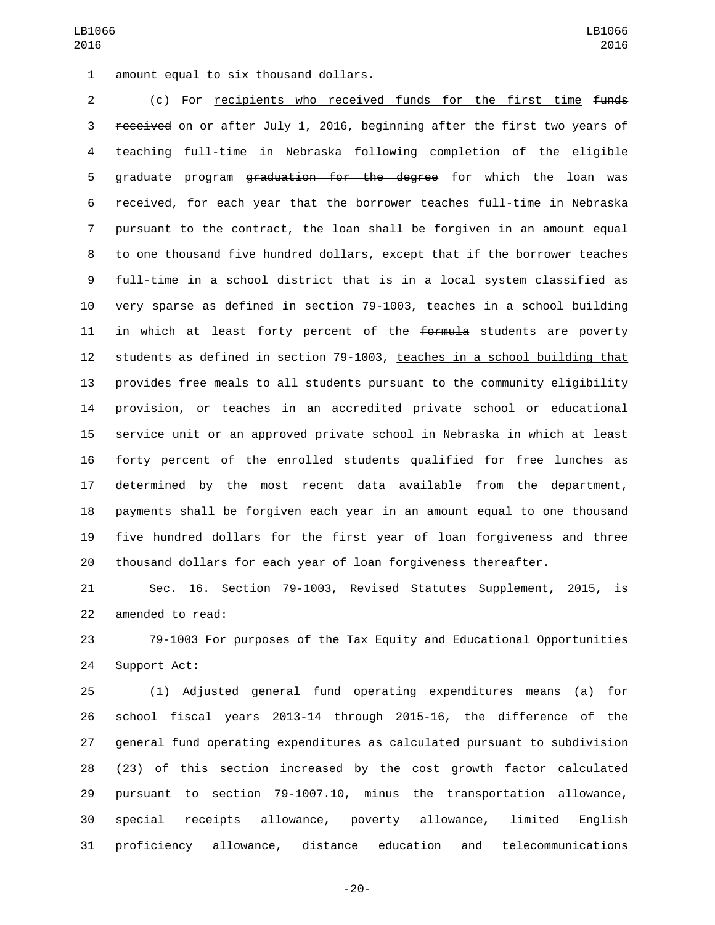1 amount equal to six thousand dollars.

 (c) For recipients who received funds for the first time funds 3 received on or after July 1, 2016, beginning after the first two years of teaching full-time in Nebraska following completion of the eligible 5 graduate program <del>graduation for the degree</del> for which the loan was received, for each year that the borrower teaches full-time in Nebraska pursuant to the contract, the loan shall be forgiven in an amount equal to one thousand five hundred dollars, except that if the borrower teaches full-time in a school district that is in a local system classified as very sparse as defined in section 79-1003, teaches in a school building 11 in which at least forty percent of the formula students are poverty students as defined in section 79-1003, teaches in a school building that provides free meals to all students pursuant to the community eligibility provision, or teaches in an accredited private school or educational service unit or an approved private school in Nebraska in which at least forty percent of the enrolled students qualified for free lunches as determined by the most recent data available from the department, payments shall be forgiven each year in an amount equal to one thousand five hundred dollars for the first year of loan forgiveness and three thousand dollars for each year of loan forgiveness thereafter.

 Sec. 16. Section 79-1003, Revised Statutes Supplement, 2015, is 22 amended to read:

 79-1003 For purposes of the Tax Equity and Educational Opportunities 24 Support Act:

 (1) Adjusted general fund operating expenditures means (a) for school fiscal years 2013-14 through 2015-16, the difference of the general fund operating expenditures as calculated pursuant to subdivision (23) of this section increased by the cost growth factor calculated pursuant to section 79-1007.10, minus the transportation allowance, special receipts allowance, poverty allowance, limited English proficiency allowance, distance education and telecommunications

-20-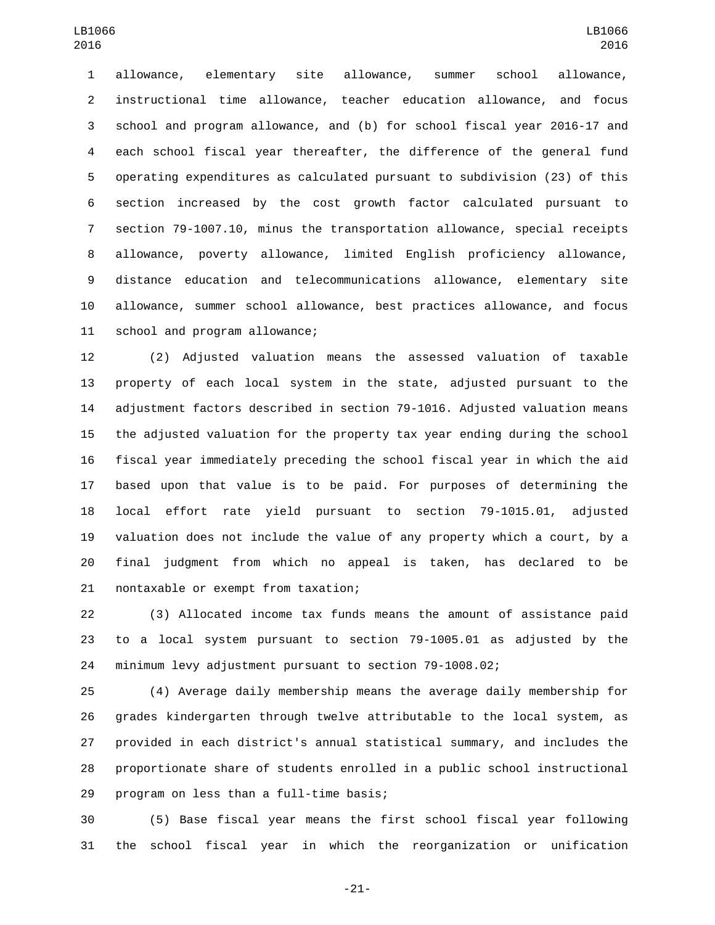allowance, elementary site allowance, summer school allowance, instructional time allowance, teacher education allowance, and focus school and program allowance, and (b) for school fiscal year 2016-17 and each school fiscal year thereafter, the difference of the general fund operating expenditures as calculated pursuant to subdivision (23) of this section increased by the cost growth factor calculated pursuant to section 79-1007.10, minus the transportation allowance, special receipts allowance, poverty allowance, limited English proficiency allowance, distance education and telecommunications allowance, elementary site allowance, summer school allowance, best practices allowance, and focus 11 school and program allowance;

 (2) Adjusted valuation means the assessed valuation of taxable property of each local system in the state, adjusted pursuant to the adjustment factors described in section 79-1016. Adjusted valuation means the adjusted valuation for the property tax year ending during the school fiscal year immediately preceding the school fiscal year in which the aid based upon that value is to be paid. For purposes of determining the local effort rate yield pursuant to section 79-1015.01, adjusted valuation does not include the value of any property which a court, by a final judgment from which no appeal is taken, has declared to be 21 nontaxable or exempt from taxation;

 (3) Allocated income tax funds means the amount of assistance paid to a local system pursuant to section 79-1005.01 as adjusted by the minimum levy adjustment pursuant to section 79-1008.02;

 (4) Average daily membership means the average daily membership for grades kindergarten through twelve attributable to the local system, as provided in each district's annual statistical summary, and includes the proportionate share of students enrolled in a public school instructional 29 program on less than a full-time basis;

 (5) Base fiscal year means the first school fiscal year following the school fiscal year in which the reorganization or unification

-21-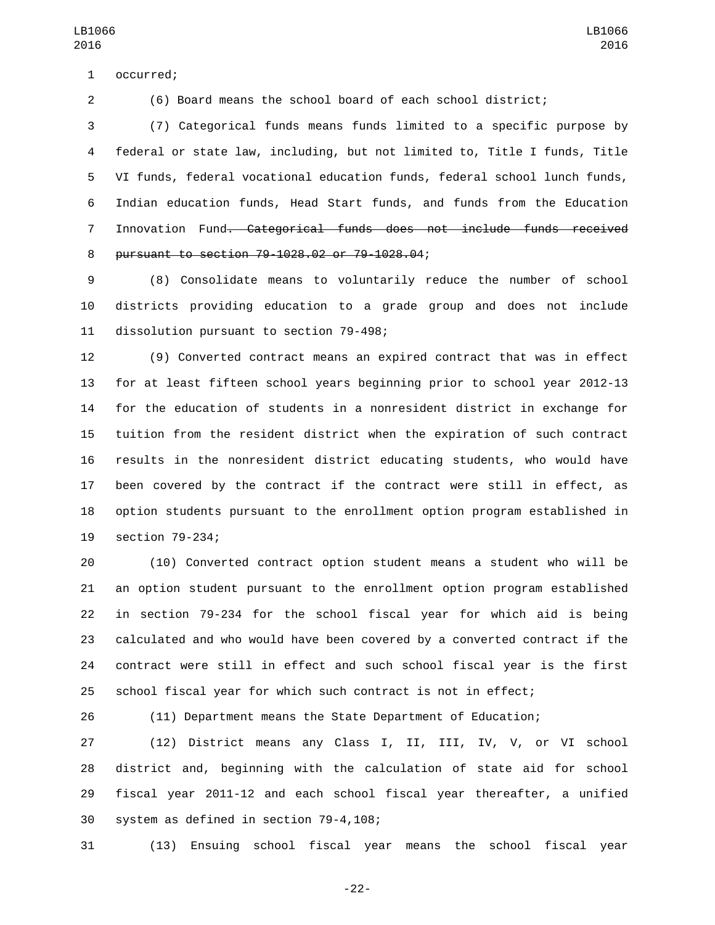1 occurred;

(6) Board means the school board of each school district;

 (7) Categorical funds means funds limited to a specific purpose by federal or state law, including, but not limited to, Title I funds, Title VI funds, federal vocational education funds, federal school lunch funds, Indian education funds, Head Start funds, and funds from the Education Innovation Fund. Categorical funds does not include funds received pursuant to section 79-1028.02 or 79-1028.04;8

 (8) Consolidate means to voluntarily reduce the number of school districts providing education to a grade group and does not include 11 dissolution pursuant to section 79-498;

 (9) Converted contract means an expired contract that was in effect for at least fifteen school years beginning prior to school year 2012-13 for the education of students in a nonresident district in exchange for tuition from the resident district when the expiration of such contract results in the nonresident district educating students, who would have been covered by the contract if the contract were still in effect, as option students pursuant to the enrollment option program established in 19 section 79-234;

 (10) Converted contract option student means a student who will be an option student pursuant to the enrollment option program established in section 79-234 for the school fiscal year for which aid is being calculated and who would have been covered by a converted contract if the contract were still in effect and such school fiscal year is the first school fiscal year for which such contract is not in effect;

(11) Department means the State Department of Education;

 (12) District means any Class I, II, III, IV, V, or VI school district and, beginning with the calculation of state aid for school fiscal year 2011-12 and each school fiscal year thereafter, a unified 30 system as defined in section 79-4,108;

(13) Ensuing school fiscal year means the school fiscal year

-22-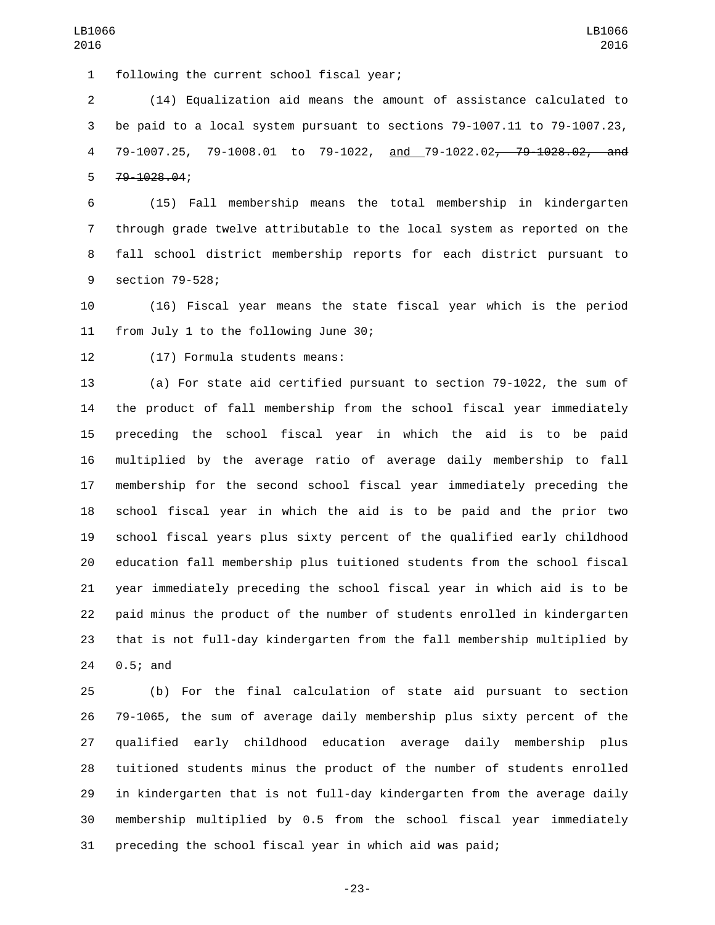1 following the current school fiscal year;

 (14) Equalization aid means the amount of assistance calculated to be paid to a local system pursuant to sections 79-1007.11 to 79-1007.23, 79-1007.25, 79-1008.01 to 79-1022, and 79-1022.02, 79-1028.02, and 5 79-1028.04;

 (15) Fall membership means the total membership in kindergarten through grade twelve attributable to the local system as reported on the fall school district membership reports for each district pursuant to 9 section 79-528;

 (16) Fiscal year means the state fiscal year which is the period 11 from July 1 to the following June 30;

12 (17) Formula students means:

 (a) For state aid certified pursuant to section 79-1022, the sum of the product of fall membership from the school fiscal year immediately preceding the school fiscal year in which the aid is to be paid multiplied by the average ratio of average daily membership to fall membership for the second school fiscal year immediately preceding the school fiscal year in which the aid is to be paid and the prior two school fiscal years plus sixty percent of the qualified early childhood education fall membership plus tuitioned students from the school fiscal year immediately preceding the school fiscal year in which aid is to be paid minus the product of the number of students enrolled in kindergarten that is not full-day kindergarten from the fall membership multiplied by 24 0.5; and

 (b) For the final calculation of state aid pursuant to section 79-1065, the sum of average daily membership plus sixty percent of the qualified early childhood education average daily membership plus tuitioned students minus the product of the number of students enrolled in kindergarten that is not full-day kindergarten from the average daily membership multiplied by 0.5 from the school fiscal year immediately preceding the school fiscal year in which aid was paid;

-23-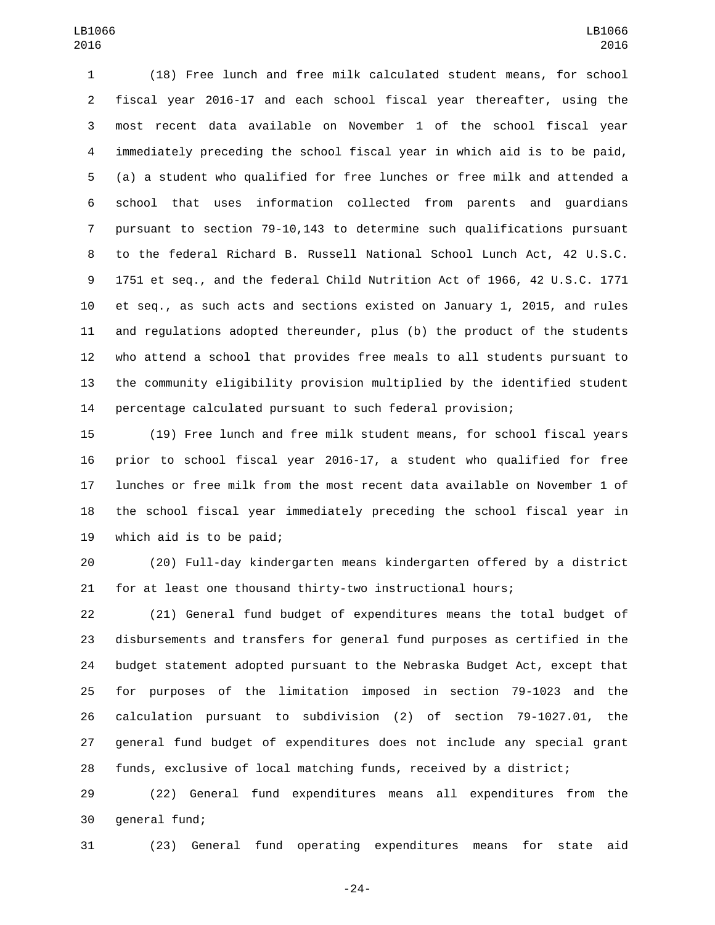(18) Free lunch and free milk calculated student means, for school fiscal year 2016-17 and each school fiscal year thereafter, using the most recent data available on November 1 of the school fiscal year immediately preceding the school fiscal year in which aid is to be paid, (a) a student who qualified for free lunches or free milk and attended a school that uses information collected from parents and guardians pursuant to section 79-10,143 to determine such qualifications pursuant to the federal Richard B. Russell National School Lunch Act, 42 U.S.C. 1751 et seq., and the federal Child Nutrition Act of 1966, 42 U.S.C. 1771 et seq., as such acts and sections existed on January 1, 2015, and rules and regulations adopted thereunder, plus (b) the product of the students who attend a school that provides free meals to all students pursuant to the community eligibility provision multiplied by the identified student percentage calculated pursuant to such federal provision;

 (19) Free lunch and free milk student means, for school fiscal years prior to school fiscal year 2016-17, a student who qualified for free lunches or free milk from the most recent data available on November 1 of the school fiscal year immediately preceding the school fiscal year in 19 which aid is to be paid;

 (20) Full-day kindergarten means kindergarten offered by a district for at least one thousand thirty-two instructional hours;

 (21) General fund budget of expenditures means the total budget of disbursements and transfers for general fund purposes as certified in the budget statement adopted pursuant to the Nebraska Budget Act, except that for purposes of the limitation imposed in section 79-1023 and the calculation pursuant to subdivision (2) of section 79-1027.01, the general fund budget of expenditures does not include any special grant funds, exclusive of local matching funds, received by a district;

 (22) General fund expenditures means all expenditures from the 30 general fund;

(23) General fund operating expenditures means for state aid

-24-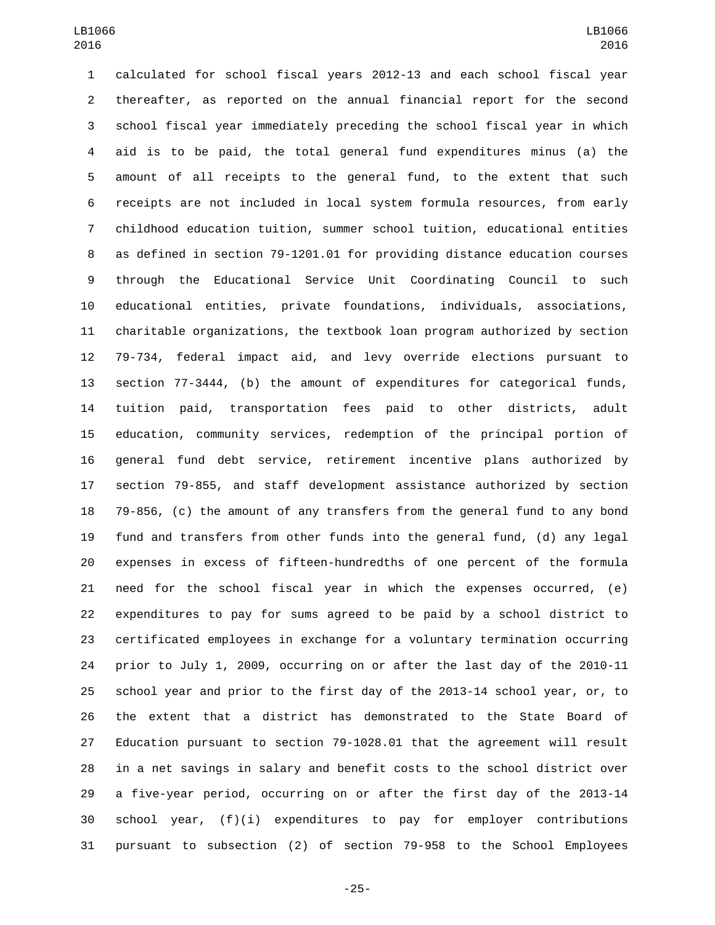calculated for school fiscal years 2012-13 and each school fiscal year thereafter, as reported on the annual financial report for the second school fiscal year immediately preceding the school fiscal year in which aid is to be paid, the total general fund expenditures minus (a) the amount of all receipts to the general fund, to the extent that such receipts are not included in local system formula resources, from early childhood education tuition, summer school tuition, educational entities as defined in section 79-1201.01 for providing distance education courses through the Educational Service Unit Coordinating Council to such educational entities, private foundations, individuals, associations, charitable organizations, the textbook loan program authorized by section 79-734, federal impact aid, and levy override elections pursuant to section 77-3444, (b) the amount of expenditures for categorical funds, tuition paid, transportation fees paid to other districts, adult education, community services, redemption of the principal portion of general fund debt service, retirement incentive plans authorized by section 79-855, and staff development assistance authorized by section 79-856, (c) the amount of any transfers from the general fund to any bond fund and transfers from other funds into the general fund, (d) any legal expenses in excess of fifteen-hundredths of one percent of the formula need for the school fiscal year in which the expenses occurred, (e) expenditures to pay for sums agreed to be paid by a school district to certificated employees in exchange for a voluntary termination occurring prior to July 1, 2009, occurring on or after the last day of the 2010-11 school year and prior to the first day of the 2013-14 school year, or, to the extent that a district has demonstrated to the State Board of Education pursuant to section 79-1028.01 that the agreement will result in a net savings in salary and benefit costs to the school district over a five-year period, occurring on or after the first day of the 2013-14 school year, (f)(i) expenditures to pay for employer contributions pursuant to subsection (2) of section 79-958 to the School Employees

-25-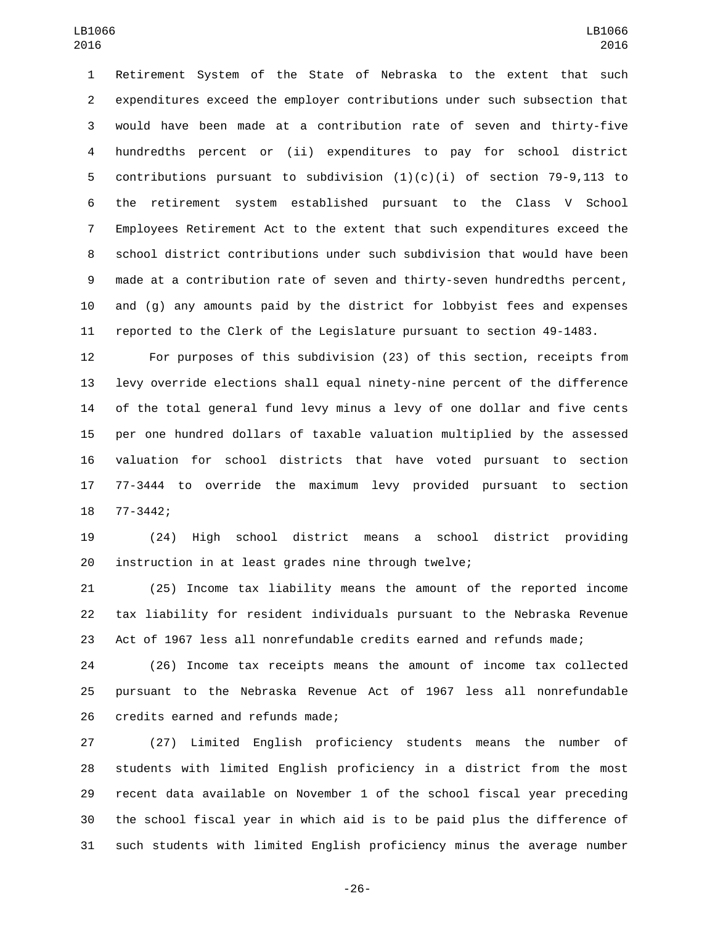Retirement System of the State of Nebraska to the extent that such expenditures exceed the employer contributions under such subsection that would have been made at a contribution rate of seven and thirty-five hundredths percent or (ii) expenditures to pay for school district contributions pursuant to subdivision (1)(c)(i) of section 79-9,113 to the retirement system established pursuant to the Class V School Employees Retirement Act to the extent that such expenditures exceed the school district contributions under such subdivision that would have been made at a contribution rate of seven and thirty-seven hundredths percent, and (g) any amounts paid by the district for lobbyist fees and expenses reported to the Clerk of the Legislature pursuant to section 49-1483.

 For purposes of this subdivision (23) of this section, receipts from levy override elections shall equal ninety-nine percent of the difference of the total general fund levy minus a levy of one dollar and five cents per one hundred dollars of taxable valuation multiplied by the assessed valuation for school districts that have voted pursuant to section 77-3444 to override the maximum levy provided pursuant to section 18 77-3442;

 (24) High school district means a school district providing instruction in at least grades nine through twelve;

 (25) Income tax liability means the amount of the reported income tax liability for resident individuals pursuant to the Nebraska Revenue Act of 1967 less all nonrefundable credits earned and refunds made;

 (26) Income tax receipts means the amount of income tax collected pursuant to the Nebraska Revenue Act of 1967 less all nonrefundable 26 credits earned and refunds made;

 (27) Limited English proficiency students means the number of students with limited English proficiency in a district from the most recent data available on November 1 of the school fiscal year preceding the school fiscal year in which aid is to be paid plus the difference of such students with limited English proficiency minus the average number

-26-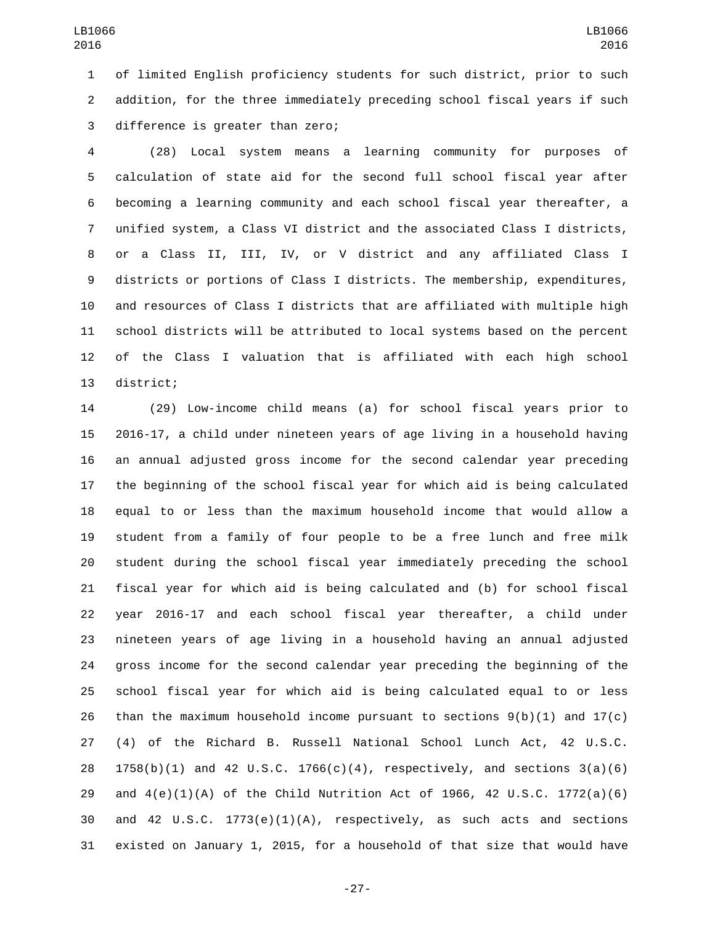of limited English proficiency students for such district, prior to such addition, for the three immediately preceding school fiscal years if such 3 difference is greater than zero;

 (28) Local system means a learning community for purposes of calculation of state aid for the second full school fiscal year after becoming a learning community and each school fiscal year thereafter, a unified system, a Class VI district and the associated Class I districts, or a Class II, III, IV, or V district and any affiliated Class I districts or portions of Class I districts. The membership, expenditures, and resources of Class I districts that are affiliated with multiple high school districts will be attributed to local systems based on the percent of the Class I valuation that is affiliated with each high school 13 district;

 (29) Low-income child means (a) for school fiscal years prior to 2016-17, a child under nineteen years of age living in a household having an annual adjusted gross income for the second calendar year preceding the beginning of the school fiscal year for which aid is being calculated equal to or less than the maximum household income that would allow a student from a family of four people to be a free lunch and free milk student during the school fiscal year immediately preceding the school fiscal year for which aid is being calculated and (b) for school fiscal year 2016-17 and each school fiscal year thereafter, a child under nineteen years of age living in a household having an annual adjusted gross income for the second calendar year preceding the beginning of the school fiscal year for which aid is being calculated equal to or less 26 than the maximum household income pursuant to sections  $9(b)(1)$  and  $17(c)$  (4) of the Richard B. Russell National School Lunch Act, 42 U.S.C.  $1758(b)(1)$  and 42 U.S.C.  $1766(c)(4)$ , respectively, and sections  $3(a)(6)$  and 4(e)(1)(A) of the Child Nutrition Act of 1966, 42 U.S.C. 1772(a)(6) and 42 U.S.C. 1773(e)(1)(A), respectively, as such acts and sections existed on January 1, 2015, for a household of that size that would have

-27-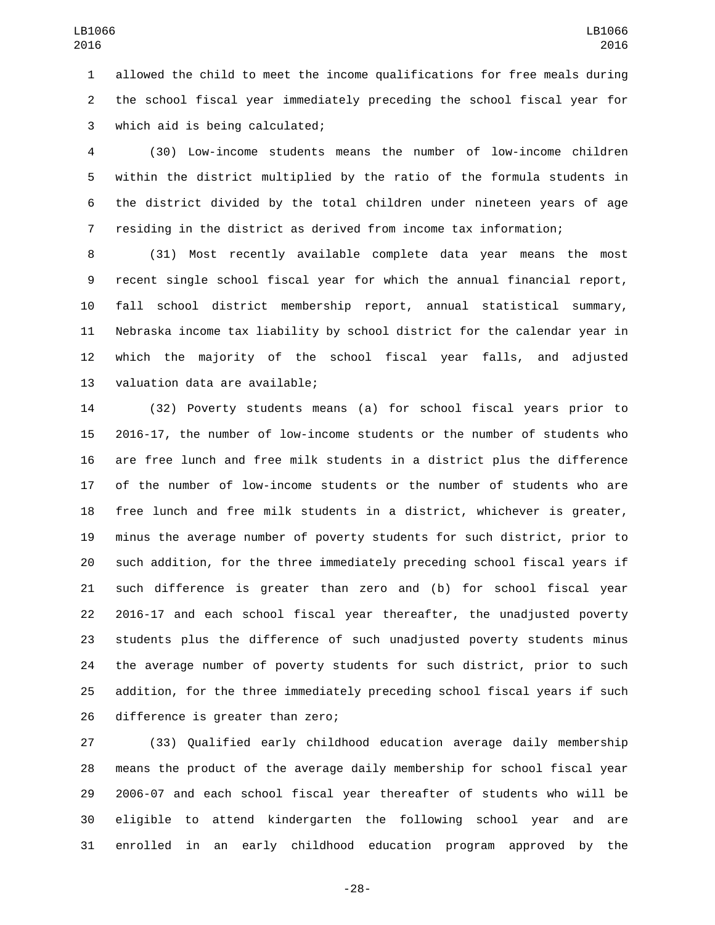allowed the child to meet the income qualifications for free meals during the school fiscal year immediately preceding the school fiscal year for which aid is being calculated;3

 (30) Low-income students means the number of low-income children within the district multiplied by the ratio of the formula students in the district divided by the total children under nineteen years of age residing in the district as derived from income tax information;

 (31) Most recently available complete data year means the most recent single school fiscal year for which the annual financial report, fall school district membership report, annual statistical summary, Nebraska income tax liability by school district for the calendar year in which the majority of the school fiscal year falls, and adjusted 13 valuation data are available;

 (32) Poverty students means (a) for school fiscal years prior to 2016-17, the number of low-income students or the number of students who are free lunch and free milk students in a district plus the difference of the number of low-income students or the number of students who are free lunch and free milk students in a district, whichever is greater, minus the average number of poverty students for such district, prior to such addition, for the three immediately preceding school fiscal years if such difference is greater than zero and (b) for school fiscal year 2016-17 and each school fiscal year thereafter, the unadjusted poverty students plus the difference of such unadjusted poverty students minus the average number of poverty students for such district, prior to such addition, for the three immediately preceding school fiscal years if such 26 difference is greater than zero;

 (33) Qualified early childhood education average daily membership means the product of the average daily membership for school fiscal year 2006-07 and each school fiscal year thereafter of students who will be eligible to attend kindergarten the following school year and are enrolled in an early childhood education program approved by the

-28-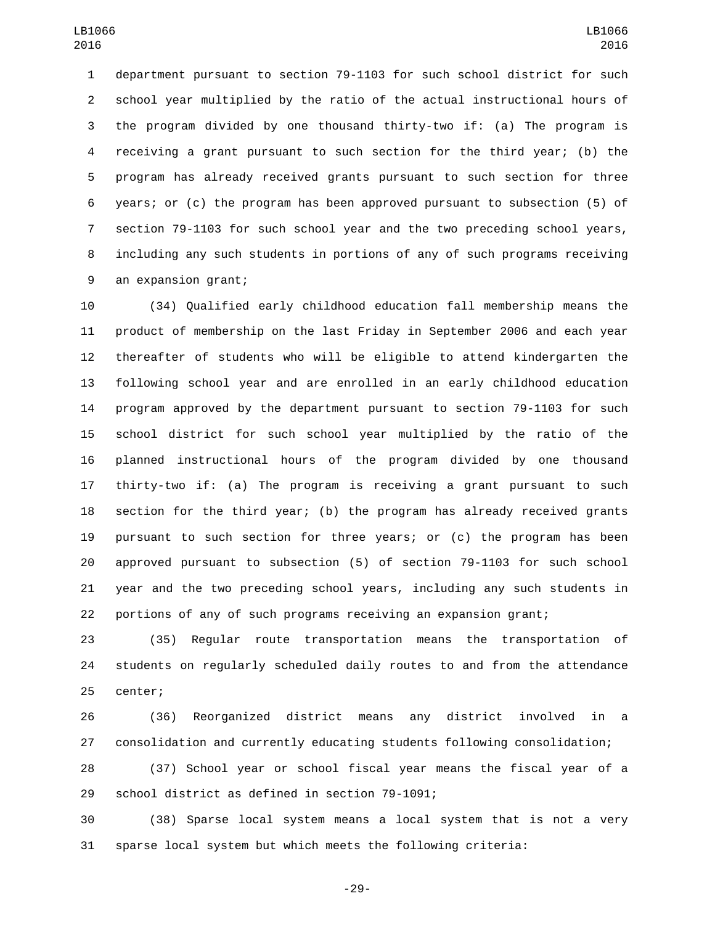department pursuant to section 79-1103 for such school district for such school year multiplied by the ratio of the actual instructional hours of the program divided by one thousand thirty-two if: (a) The program is receiving a grant pursuant to such section for the third year; (b) the program has already received grants pursuant to such section for three years; or (c) the program has been approved pursuant to subsection (5) of section 79-1103 for such school year and the two preceding school years, including any such students in portions of any of such programs receiving 9 an expansion grant;

 (34) Qualified early childhood education fall membership means the product of membership on the last Friday in September 2006 and each year thereafter of students who will be eligible to attend kindergarten the following school year and are enrolled in an early childhood education program approved by the department pursuant to section 79-1103 for such school district for such school year multiplied by the ratio of the planned instructional hours of the program divided by one thousand thirty-two if: (a) The program is receiving a grant pursuant to such section for the third year; (b) the program has already received grants pursuant to such section for three years; or (c) the program has been approved pursuant to subsection (5) of section 79-1103 for such school year and the two preceding school years, including any such students in portions of any of such programs receiving an expansion grant;

 (35) Regular route transportation means the transportation of students on regularly scheduled daily routes to and from the attendance 25 center;

 (36) Reorganized district means any district involved in a consolidation and currently educating students following consolidation;

 (37) School year or school fiscal year means the fiscal year of a 29 school district as defined in section 79-1091;

 (38) Sparse local system means a local system that is not a very sparse local system but which meets the following criteria:

-29-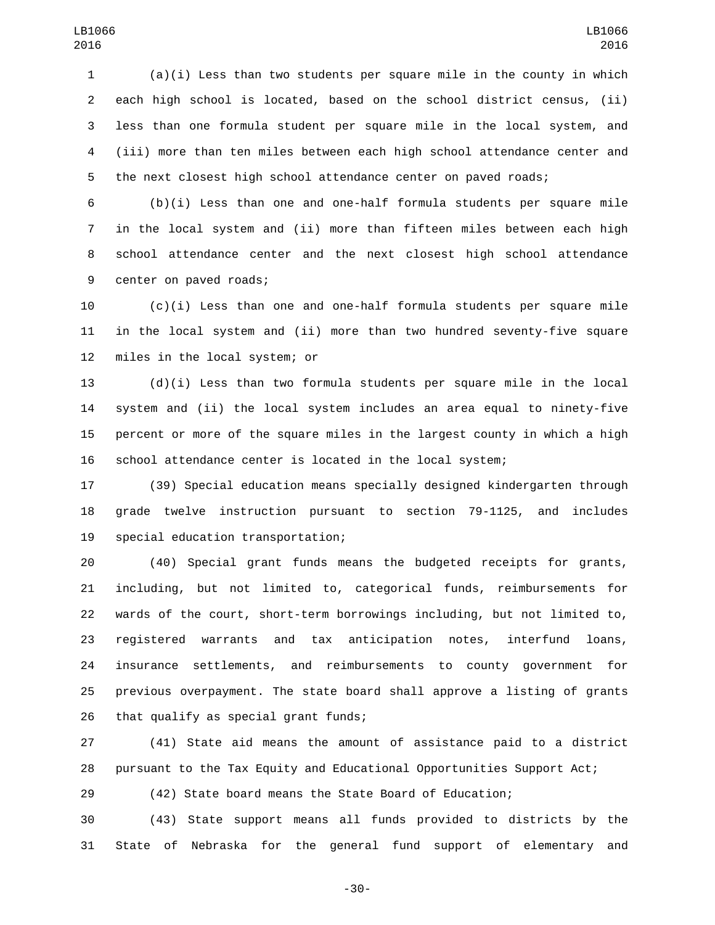(a)(i) Less than two students per square mile in the county in which each high school is located, based on the school district census, (ii) less than one formula student per square mile in the local system, and (iii) more than ten miles between each high school attendance center and the next closest high school attendance center on paved roads;

 (b)(i) Less than one and one-half formula students per square mile in the local system and (ii) more than fifteen miles between each high school attendance center and the next closest high school attendance 9 center on paved roads;

 (c)(i) Less than one and one-half formula students per square mile in the local system and (ii) more than two hundred seventy-five square 12 miles in the local system; or

 (d)(i) Less than two formula students per square mile in the local system and (ii) the local system includes an area equal to ninety-five percent or more of the square miles in the largest county in which a high school attendance center is located in the local system;

 (39) Special education means specially designed kindergarten through grade twelve instruction pursuant to section 79-1125, and includes 19 special education transportation;

 (40) Special grant funds means the budgeted receipts for grants, including, but not limited to, categorical funds, reimbursements for wards of the court, short-term borrowings including, but not limited to, registered warrants and tax anticipation notes, interfund loans, insurance settlements, and reimbursements to county government for previous overpayment. The state board shall approve a listing of grants 26 that qualify as special grant funds;

 (41) State aid means the amount of assistance paid to a district pursuant to the Tax Equity and Educational Opportunities Support Act;

(42) State board means the State Board of Education;

 (43) State support means all funds provided to districts by the State of Nebraska for the general fund support of elementary and

-30-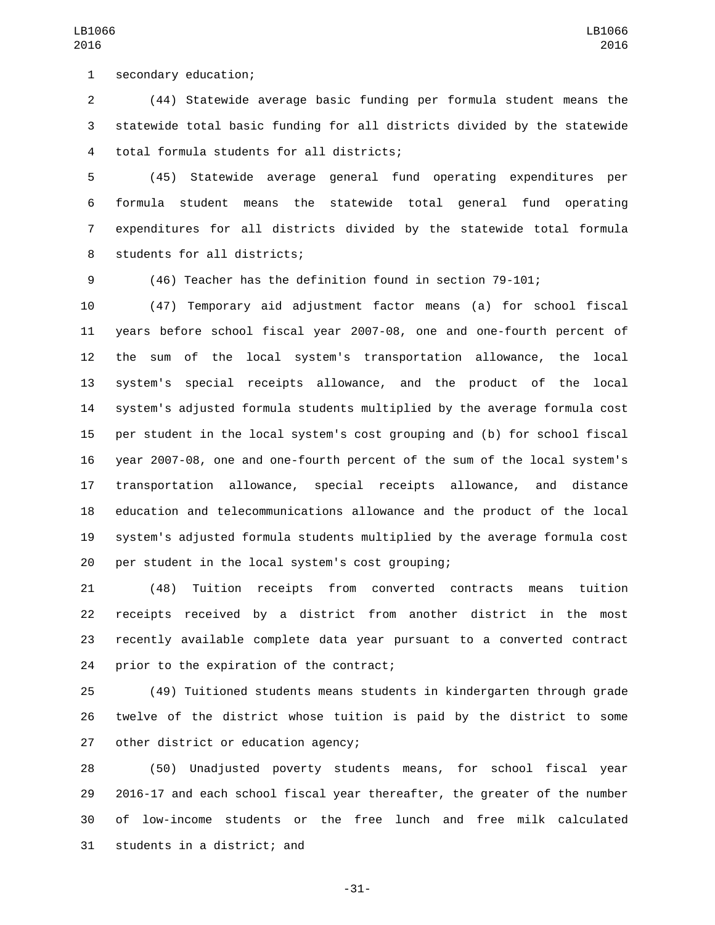1 secondary education;

 (44) Statewide average basic funding per formula student means the statewide total basic funding for all districts divided by the statewide total formula students for all districts;4

LB1066 

 (45) Statewide average general fund operating expenditures per formula student means the statewide total general fund operating expenditures for all districts divided by the statewide total formula 8 students for all districts;

(46) Teacher has the definition found in section 79-101;

 (47) Temporary aid adjustment factor means (a) for school fiscal years before school fiscal year 2007-08, one and one-fourth percent of the sum of the local system's transportation allowance, the local system's special receipts allowance, and the product of the local system's adjusted formula students multiplied by the average formula cost per student in the local system's cost grouping and (b) for school fiscal year 2007-08, one and one-fourth percent of the sum of the local system's transportation allowance, special receipts allowance, and distance education and telecommunications allowance and the product of the local system's adjusted formula students multiplied by the average formula cost 20 per student in the local system's cost grouping;

 (48) Tuition receipts from converted contracts means tuition receipts received by a district from another district in the most recently available complete data year pursuant to a converted contract 24 prior to the expiration of the contract;

 (49) Tuitioned students means students in kindergarten through grade twelve of the district whose tuition is paid by the district to some 27 other district or education agency;

 (50) Unadjusted poverty students means, for school fiscal year 2016-17 and each school fiscal year thereafter, the greater of the number of low-income students or the free lunch and free milk calculated 31 students in a district; and

-31-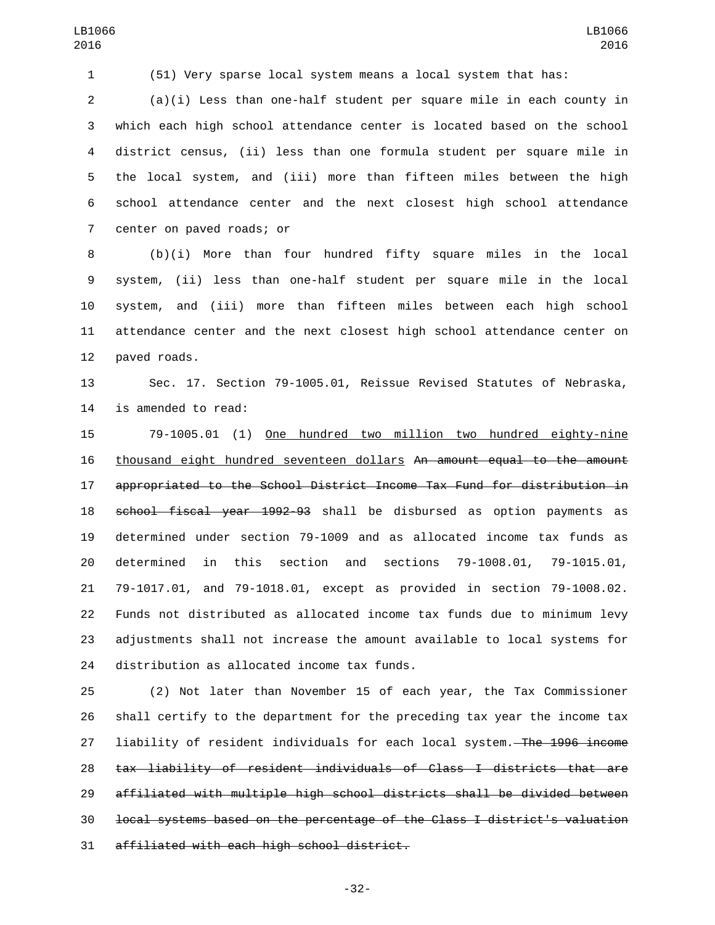(51) Very sparse local system means a local system that has:

 (a)(i) Less than one-half student per square mile in each county in which each high school attendance center is located based on the school district census, (ii) less than one formula student per square mile in the local system, and (iii) more than fifteen miles between the high school attendance center and the next closest high school attendance 7 center on paved roads; or

 (b)(i) More than four hundred fifty square miles in the local system, (ii) less than one-half student per square mile in the local system, and (iii) more than fifteen miles between each high school attendance center and the next closest high school attendance center on 12 paved roads.

 Sec. 17. Section 79-1005.01, Reissue Revised Statutes of Nebraska, 14 is amended to read:

 79-1005.01 (1) One hundred two million two hundred eighty-nine thousand eight hundred seventeen dollars An amount equal to the amount appropriated to the School District Income Tax Fund for distribution in school fiscal year 1992-93 shall be disbursed as option payments as determined under section 79-1009 and as allocated income tax funds as determined in this section and sections 79-1008.01, 79-1015.01, 79-1017.01, and 79-1018.01, except as provided in section 79-1008.02. Funds not distributed as allocated income tax funds due to minimum levy adjustments shall not increase the amount available to local systems for 24 distribution as allocated income tax funds.

 (2) Not later than November 15 of each year, the Tax Commissioner shall certify to the department for the preceding tax year the income tax 27 liability of resident individuals for each local system. The 1996 income tax liability of resident individuals of Class I districts that are affiliated with multiple high school districts shall be divided between local systems based on the percentage of the Class I district's valuation 31 affiliated with each high school district.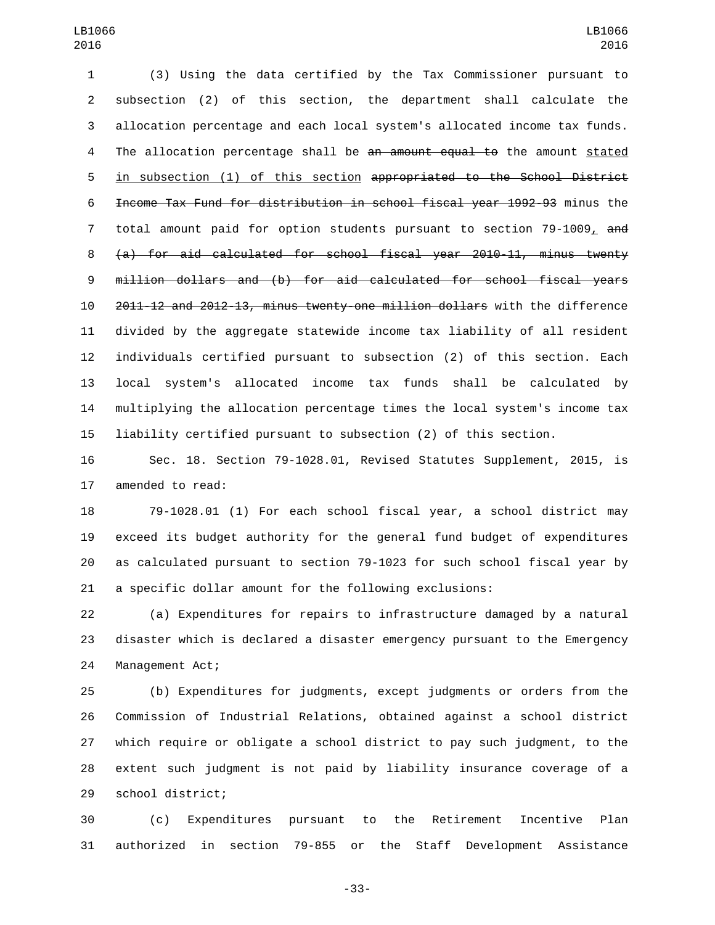(3) Using the data certified by the Tax Commissioner pursuant to subsection (2) of this section, the department shall calculate the allocation percentage and each local system's allocated income tax funds. 4 The allocation percentage shall be an amount equal to the amount stated in subsection (1) of this section appropriated to the School District Income Tax Fund for distribution in school fiscal year 1992-93 minus the 7 total amount paid for option students pursuant to section  $79-1009<sub>L</sub>$  and (a) for aid calculated for school fiscal year 2010-11, minus twenty million dollars and (b) for aid calculated for school fiscal years 2011-12 and 2012-13, minus twenty-one million dollars with the difference divided by the aggregate statewide income tax liability of all resident individuals certified pursuant to subsection (2) of this section. Each local system's allocated income tax funds shall be calculated by multiplying the allocation percentage times the local system's income tax liability certified pursuant to subsection (2) of this section.

 Sec. 18. Section 79-1028.01, Revised Statutes Supplement, 2015, is 17 amended to read:

 79-1028.01 (1) For each school fiscal year, a school district may exceed its budget authority for the general fund budget of expenditures as calculated pursuant to section 79-1023 for such school fiscal year by a specific dollar amount for the following exclusions:

 (a) Expenditures for repairs to infrastructure damaged by a natural disaster which is declared a disaster emergency pursuant to the Emergency 24 Management Act;

 (b) Expenditures for judgments, except judgments or orders from the Commission of Industrial Relations, obtained against a school district which require or obligate a school district to pay such judgment, to the extent such judgment is not paid by liability insurance coverage of a 29 school district;

 (c) Expenditures pursuant to the Retirement Incentive Plan authorized in section 79-855 or the Staff Development Assistance

-33-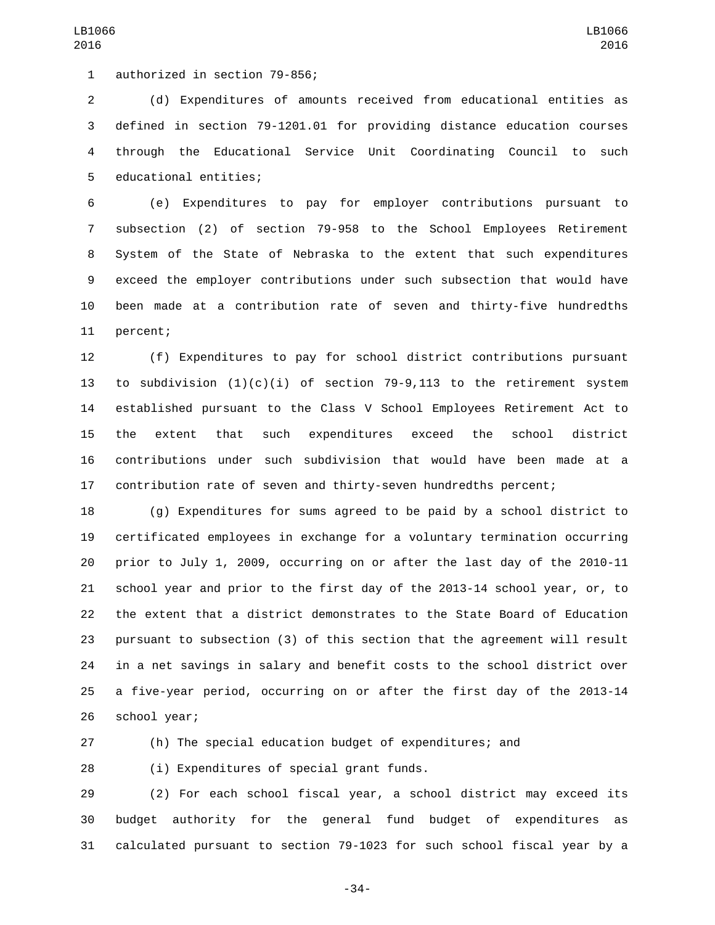1 authorized in section 79-856;

 (d) Expenditures of amounts received from educational entities as defined in section 79-1201.01 for providing distance education courses through the Educational Service Unit Coordinating Council to such 5 educational entities;

 (e) Expenditures to pay for employer contributions pursuant to subsection (2) of section 79-958 to the School Employees Retirement System of the State of Nebraska to the extent that such expenditures exceed the employer contributions under such subsection that would have been made at a contribution rate of seven and thirty-five hundredths 11 percent;

 (f) Expenditures to pay for school district contributions pursuant 13 to subdivision  $(1)(c)(i)$  of section 79-9,113 to the retirement system established pursuant to the Class V School Employees Retirement Act to the extent that such expenditures exceed the school district contributions under such subdivision that would have been made at a contribution rate of seven and thirty-seven hundredths percent;

 (g) Expenditures for sums agreed to be paid by a school district to certificated employees in exchange for a voluntary termination occurring prior to July 1, 2009, occurring on or after the last day of the 2010-11 school year and prior to the first day of the 2013-14 school year, or, to the extent that a district demonstrates to the State Board of Education pursuant to subsection (3) of this section that the agreement will result in a net savings in salary and benefit costs to the school district over a five-year period, occurring on or after the first day of the 2013-14 26 school year;

(h) The special education budget of expenditures; and

28 (i) Expenditures of special grant funds.

 (2) For each school fiscal year, a school district may exceed its budget authority for the general fund budget of expenditures as calculated pursuant to section 79-1023 for such school fiscal year by a

-34-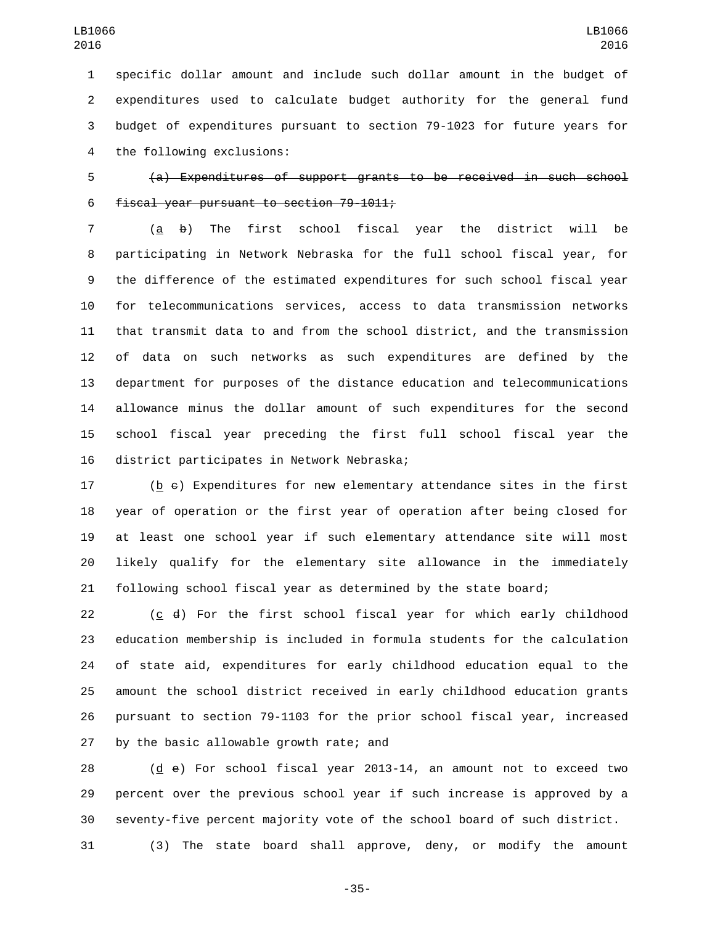specific dollar amount and include such dollar amount in the budget of expenditures used to calculate budget authority for the general fund budget of expenditures pursuant to section 79-1023 for future years for 4 the following exclusions:

 (a) Expenditures of support grants to be received in such school 6  $f$ iscal year pursuant to section 79-1011;

 ( $\underline{a}$   $\underline{b}$ ) The first school fiscal year the district will be participating in Network Nebraska for the full school fiscal year, for the difference of the estimated expenditures for such school fiscal year for telecommunications services, access to data transmission networks that transmit data to and from the school district, and the transmission of data on such networks as such expenditures are defined by the department for purposes of the distance education and telecommunications allowance minus the dollar amount of such expenditures for the second school fiscal year preceding the first full school fiscal year the 16 district participates in Network Nebraska;

 (b c) Expenditures for new elementary attendance sites in the first year of operation or the first year of operation after being closed for at least one school year if such elementary attendance site will most likely qualify for the elementary site allowance in the immediately following school fiscal year as determined by the state board;

 (c d) For the first school fiscal year for which early childhood education membership is included in formula students for the calculation of state aid, expenditures for early childhood education equal to the amount the school district received in early childhood education grants pursuant to section 79-1103 for the prior school fiscal year, increased 27 by the basic allowable growth rate; and

 (d e) For school fiscal year 2013-14, an amount not to exceed two percent over the previous school year if such increase is approved by a seventy-five percent majority vote of the school board of such district.

(3) The state board shall approve, deny, or modify the amount

-35-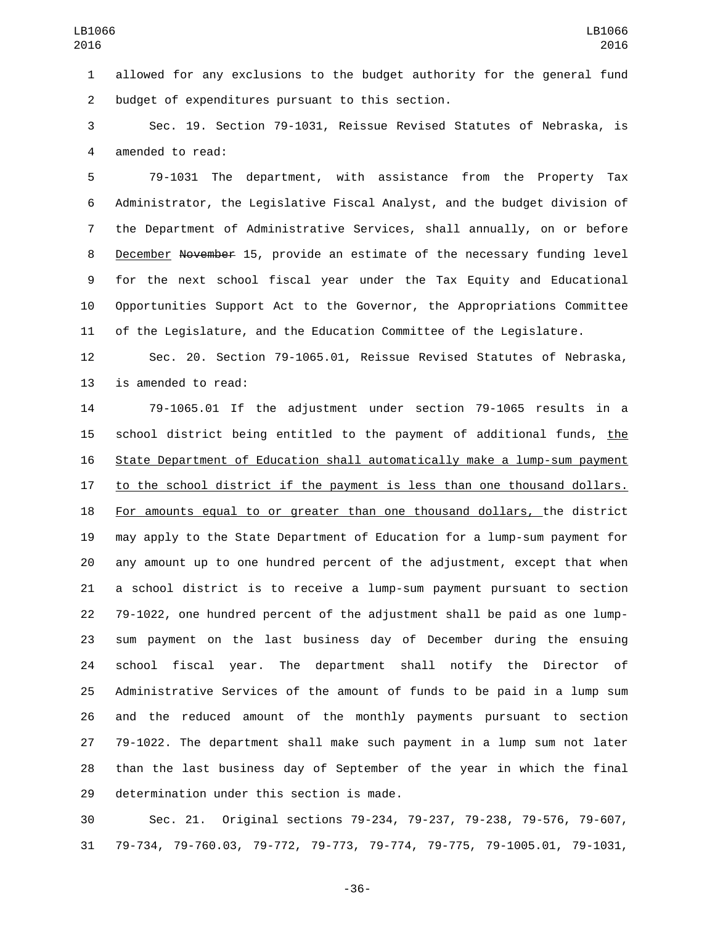allowed for any exclusions to the budget authority for the general fund 2 budget of expenditures pursuant to this section.

 Sec. 19. Section 79-1031, Reissue Revised Statutes of Nebraska, is 4 amended to read:

 79-1031 The department, with assistance from the Property Tax Administrator, the Legislative Fiscal Analyst, and the budget division of the Department of Administrative Services, shall annually, on or before 8 December November 15, provide an estimate of the necessary funding level for the next school fiscal year under the Tax Equity and Educational Opportunities Support Act to the Governor, the Appropriations Committee of the Legislature, and the Education Committee of the Legislature.

 Sec. 20. Section 79-1065.01, Reissue Revised Statutes of Nebraska, 13 is amended to read:

 79-1065.01 If the adjustment under section 79-1065 results in a 15 school district being entitled to the payment of additional funds, the State Department of Education shall automatically make a lump-sum payment 17 to the school district if the payment is less than one thousand dollars. 18 For amounts equal to or greater than one thousand dollars, the district may apply to the State Department of Education for a lump-sum payment for any amount up to one hundred percent of the adjustment, except that when a school district is to receive a lump-sum payment pursuant to section 79-1022, one hundred percent of the adjustment shall be paid as one lump- sum payment on the last business day of December during the ensuing school fiscal year. The department shall notify the Director of Administrative Services of the amount of funds to be paid in a lump sum and the reduced amount of the monthly payments pursuant to section 79-1022. The department shall make such payment in a lump sum not later than the last business day of September of the year in which the final 29 determination under this section is made.

 Sec. 21. Original sections 79-234, 79-237, 79-238, 79-576, 79-607, 79-734, 79-760.03, 79-772, 79-773, 79-774, 79-775, 79-1005.01, 79-1031,

-36-